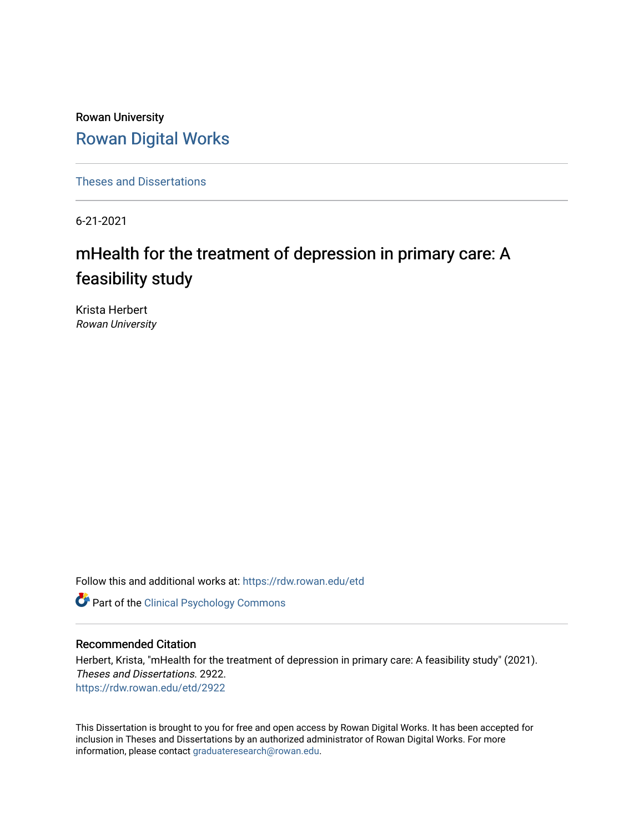Rowan University [Rowan Digital Works](https://rdw.rowan.edu/)

[Theses and Dissertations](https://rdw.rowan.edu/etd)

6-21-2021

# mHealth for the treatment of depression in primary care: A feasibility study

Krista Herbert Rowan University

Follow this and additional works at: [https://rdw.rowan.edu/etd](https://rdw.rowan.edu/etd?utm_source=rdw.rowan.edu%2Fetd%2F2922&utm_medium=PDF&utm_campaign=PDFCoverPages) 



#### Recommended Citation

Herbert, Krista, "mHealth for the treatment of depression in primary care: A feasibility study" (2021). Theses and Dissertations. 2922. [https://rdw.rowan.edu/etd/2922](https://rdw.rowan.edu/etd/2922?utm_source=rdw.rowan.edu%2Fetd%2F2922&utm_medium=PDF&utm_campaign=PDFCoverPages)

This Dissertation is brought to you for free and open access by Rowan Digital Works. It has been accepted for inclusion in Theses and Dissertations by an authorized administrator of Rowan Digital Works. For more information, please contact [graduateresearch@rowan.edu.](mailto:graduateresearch@rowan.edu)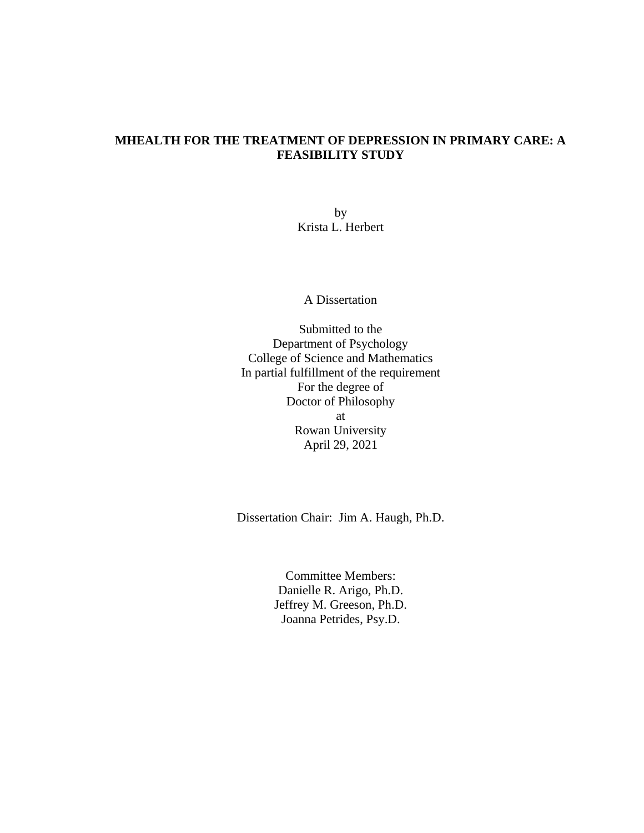### **MHEALTH FOR THE TREATMENT OF DEPRESSION IN PRIMARY CARE: A FEASIBILITY STUDY**

by Krista L. Herbert

A Dissertation

Submitted to the Department of Psychology College of Science and Mathematics In partial fulfillment of the requirement For the degree of Doctor of Philosophy at Rowan University April 29, 2021

Dissertation Chair: Jim A. Haugh, Ph.D.

Committee Members: Danielle R. Arigo, Ph.D. Jeffrey M. Greeson, Ph.D. Joanna Petrides, Psy.D.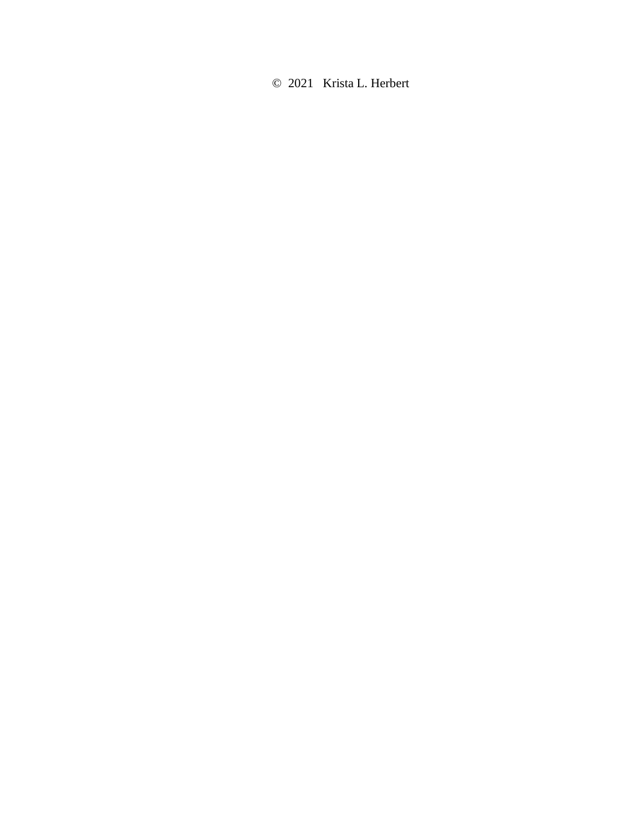© 2021 Krista L. Herbert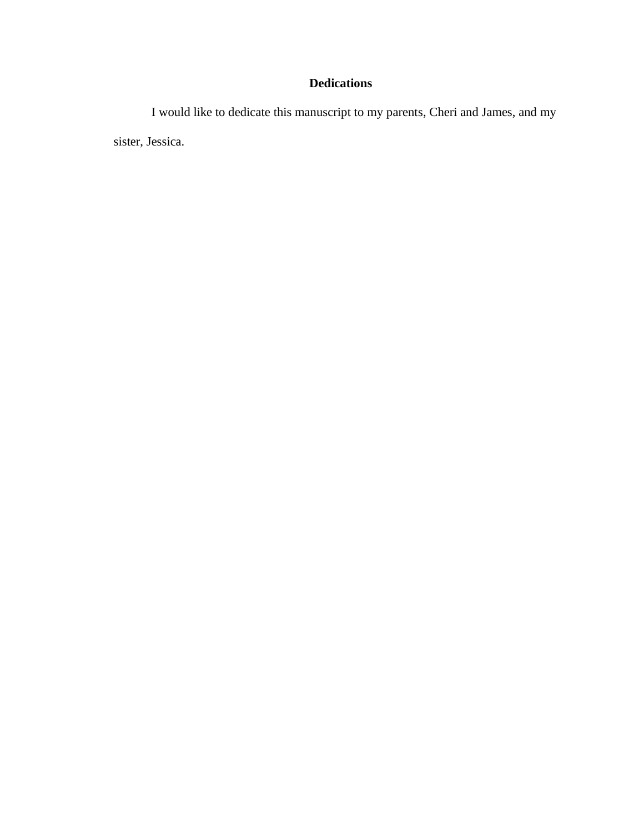### **Dedications**

I would like to dedicate this manuscript to my parents, Cheri and James, and my sister, Jessica.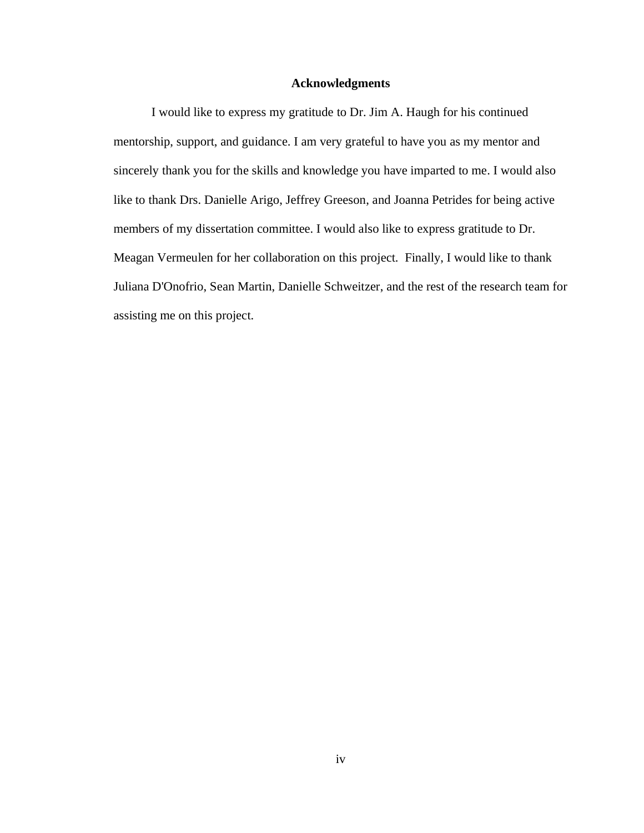#### **Acknowledgments**

I would like to express my gratitude to Dr. Jim A. Haugh for his continued mentorship, support, and guidance. I am very grateful to have you as my mentor and sincerely thank you for the skills and knowledge you have imparted to me. I would also like to thank Drs. Danielle Arigo, Jeffrey Greeson, and Joanna Petrides for being active members of my dissertation committee. I would also like to express gratitude to Dr. Meagan Vermeulen for her collaboration on this project. Finally, I would like to thank Juliana D'Onofrio, Sean Martin, Danielle Schweitzer, and the rest of the research team for assisting me on this project.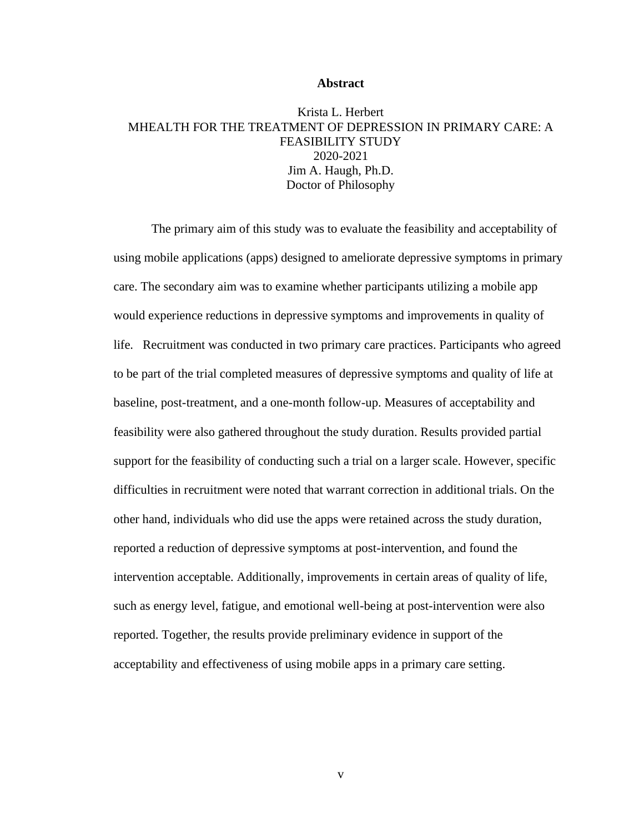#### **Abstract**

### Krista L. Herbert MHEALTH FOR THE TREATMENT OF DEPRESSION IN PRIMARY CARE: A FEASIBILITY STUDY 2020-2021 Jim A. Haugh, Ph.D. Doctor of Philosophy

The primary aim of this study was to evaluate the feasibility and acceptability of using mobile applications (apps) designed to ameliorate depressive symptoms in primary care. The secondary aim was to examine whether participants utilizing a mobile app would experience reductions in depressive symptoms and improvements in quality of life. Recruitment was conducted in two primary care practices. Participants who agreed to be part of the trial completed measures of depressive symptoms and quality of life at baseline, post-treatment, and a one-month follow-up. Measures of acceptability and feasibility were also gathered throughout the study duration. Results provided partial support for the feasibility of conducting such a trial on a larger scale. However, specific difficulties in recruitment were noted that warrant correction in additional trials. On the other hand, individuals who did use the apps were retained across the study duration, reported a reduction of depressive symptoms at post-intervention, and found the intervention acceptable. Additionally, improvements in certain areas of quality of life, such as energy level, fatigue, and emotional well-being at post-intervention were also reported. Together, the results provide preliminary evidence in support of the acceptability and effectiveness of using mobile apps in a primary care setting.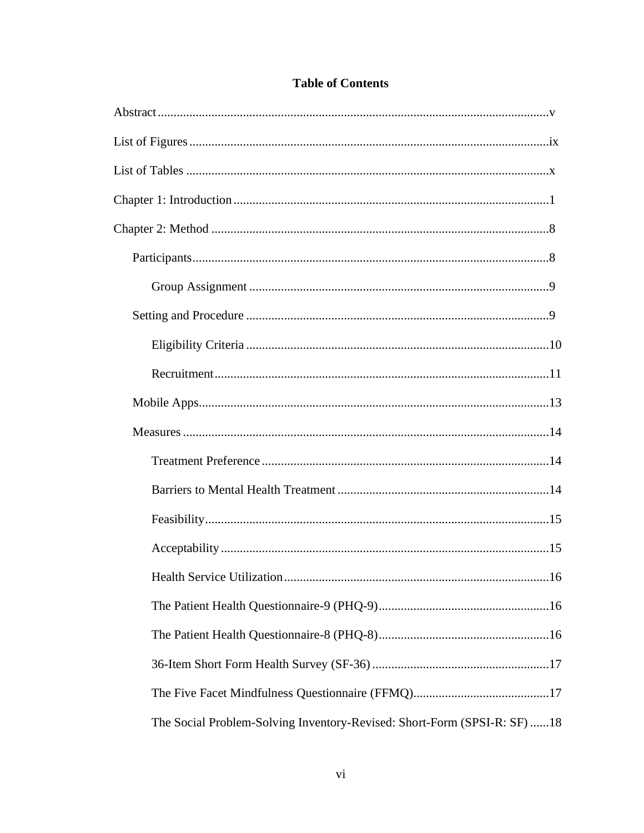| The Social Problem-Solving Inventory-Revised: Short-Form (SPSI-R: SF) 18 |
|--------------------------------------------------------------------------|

### **Table of Contents**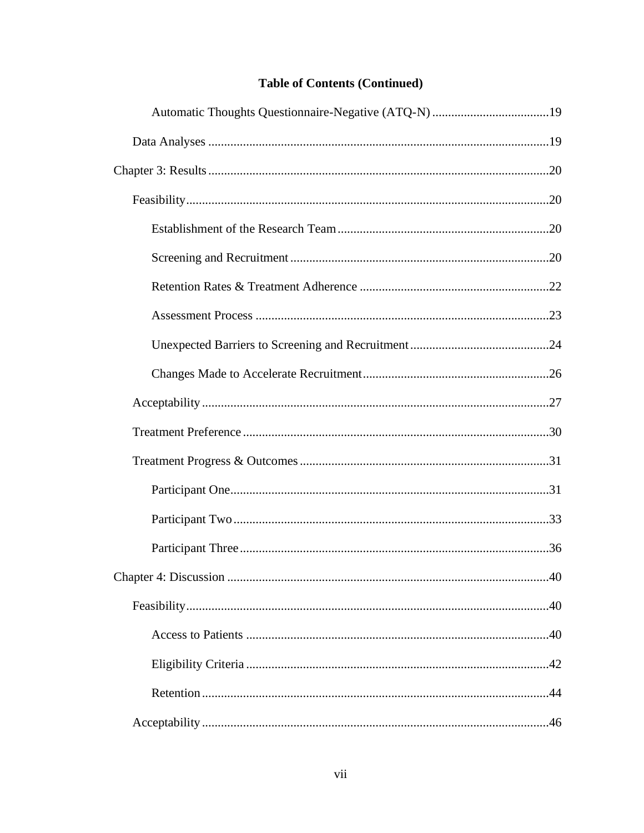### **Table of Contents (Continued)**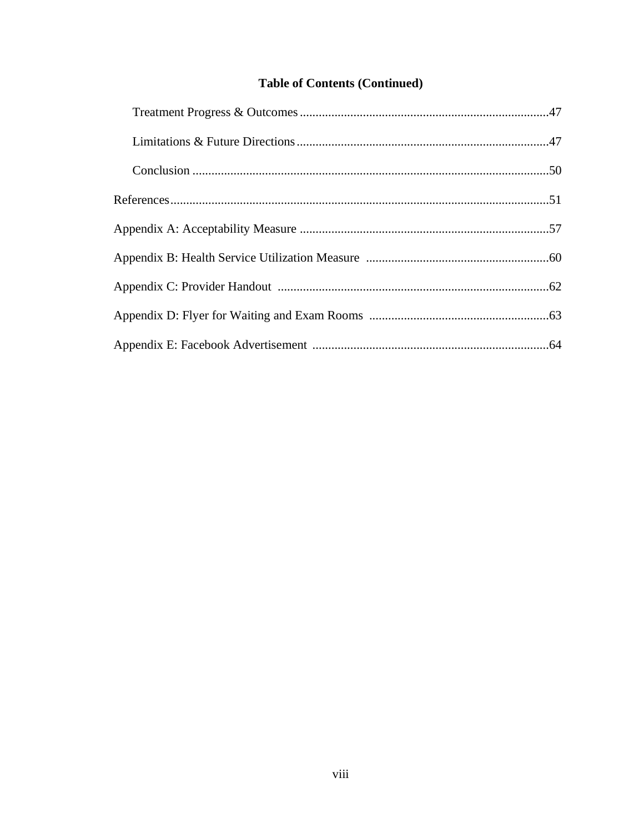### **Table of Contents (Continued)**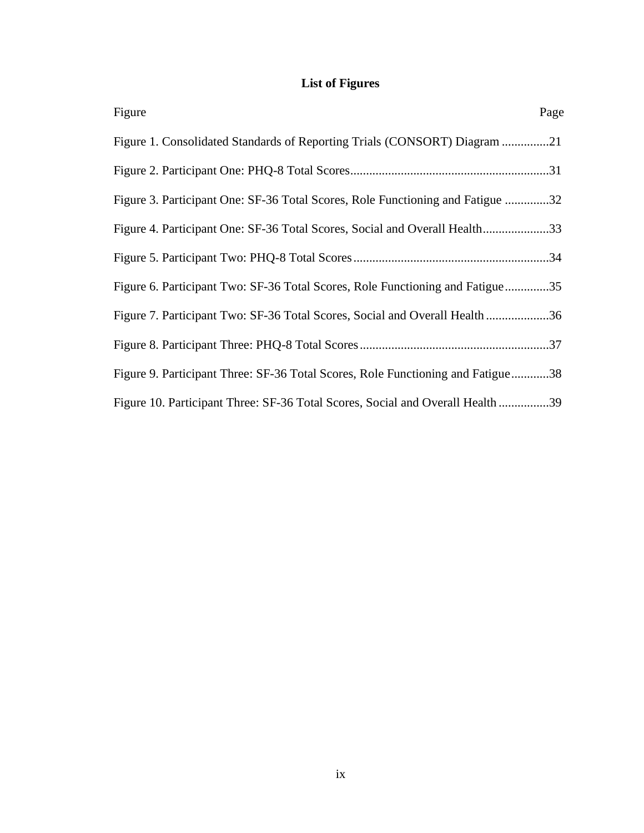# **List of Figures**

| Figure                                                                          | Page |
|---------------------------------------------------------------------------------|------|
| Figure 1. Consolidated Standards of Reporting Trials (CONSORT) Diagram 21       |      |
|                                                                                 |      |
| Figure 3. Participant One: SF-36 Total Scores, Role Functioning and Fatigue 32  |      |
| Figure 4. Participant One: SF-36 Total Scores, Social and Overall Health33      |      |
|                                                                                 |      |
| Figure 6. Participant Two: SF-36 Total Scores, Role Functioning and Fatigue35   |      |
| Figure 7. Participant Two: SF-36 Total Scores, Social and Overall Health36      |      |
|                                                                                 |      |
| Figure 9. Participant Three: SF-36 Total Scores, Role Functioning and Fatigue38 |      |
| Figure 10. Participant Three: SF-36 Total Scores, Social and Overall Health 39  |      |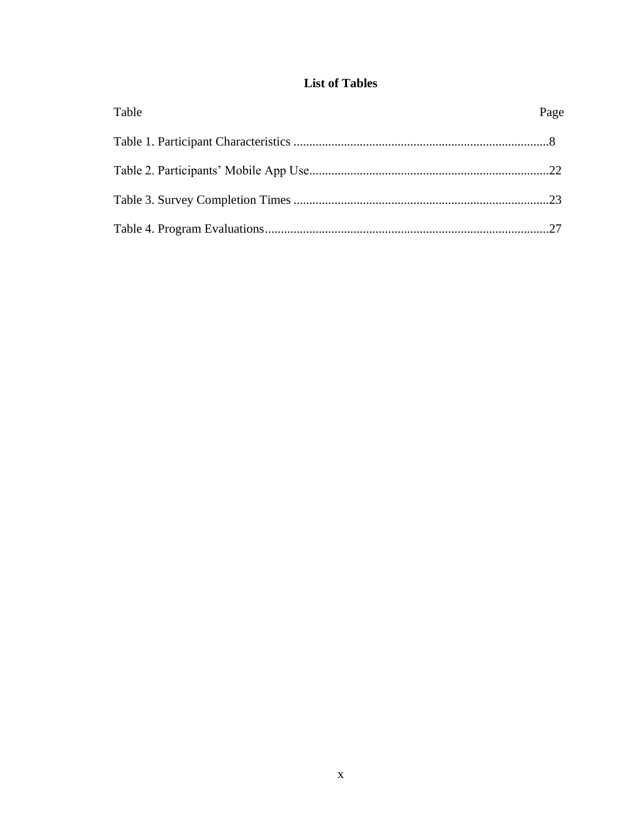### **List of Tables**

| Table | Page |
|-------|------|
|       |      |
|       |      |
|       |      |
|       |      |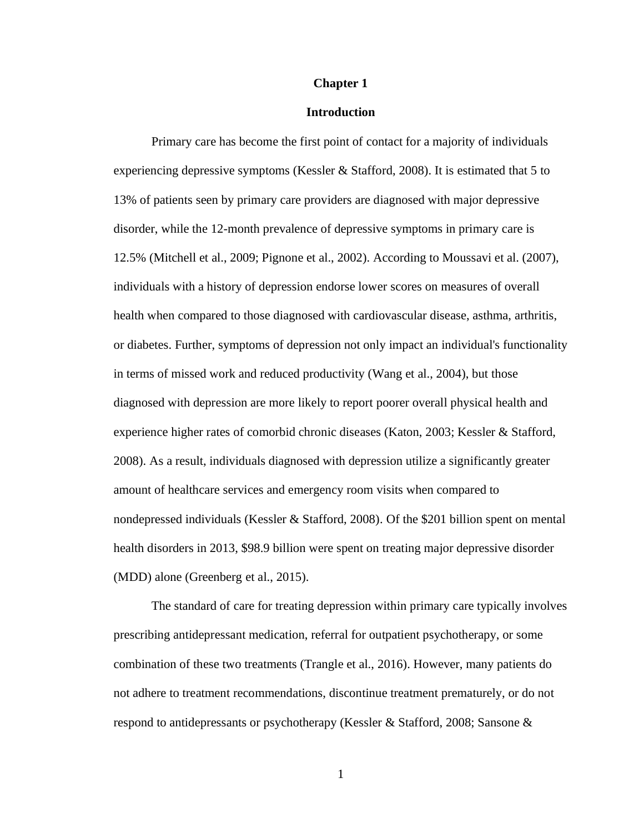#### **Chapter 1**

#### **Introduction**

Primary care has become the first point of contact for a majority of individuals experiencing depressive symptoms (Kessler & Stafford, 2008). It is estimated that 5 to 13% of patients seen by primary care providers are diagnosed with major depressive disorder, while the 12-month prevalence of depressive symptoms in primary care is 12.5% (Mitchell et al., 2009; Pignone et al., 2002). According to Moussavi et al. (2007), individuals with a history of depression endorse lower scores on measures of overall health when compared to those diagnosed with cardiovascular disease, asthma, arthritis, or diabetes. Further, symptoms of depression not only impact an individual's functionality in terms of missed work and reduced productivity (Wang et al., 2004), but those diagnosed with depression are more likely to report poorer overall physical health and experience higher rates of comorbid chronic diseases (Katon, 2003; Kessler & Stafford, 2008). As a result, individuals diagnosed with depression utilize a significantly greater amount of healthcare services and emergency room visits when compared to nondepressed individuals (Kessler & Stafford, 2008). Of the \$201 billion spent on mental health disorders in 2013, \$98.9 billion were spent on treating major depressive disorder (MDD) alone (Greenberg et al., 2015).

The standard of care for treating depression within primary care typically involves prescribing antidepressant medication, referral for outpatient psychotherapy, or some combination of these two treatments (Trangle et al., 2016). However, many patients do not adhere to treatment recommendations, discontinue treatment prematurely, or do not respond to antidepressants or psychotherapy (Kessler & Stafford, 2008; Sansone &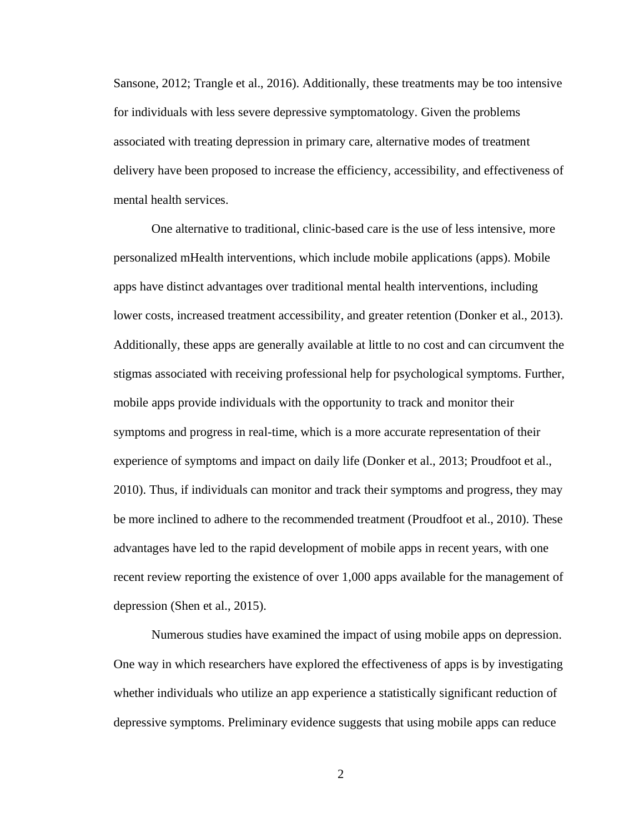Sansone, 2012; Trangle et al., 2016). Additionally, these treatments may be too intensive for individuals with less severe depressive symptomatology. Given the problems associated with treating depression in primary care, alternative modes of treatment delivery have been proposed to increase the efficiency, accessibility, and effectiveness of mental health services.

One alternative to traditional, clinic-based care is the use of less intensive, more personalized mHealth interventions, which include mobile applications (apps). Mobile apps have distinct advantages over traditional mental health interventions, including lower costs, increased treatment accessibility, and greater retention (Donker et al., 2013). Additionally, these apps are generally available at little to no cost and can circumvent the stigmas associated with receiving professional help for psychological symptoms. Further, mobile apps provide individuals with the opportunity to track and monitor their symptoms and progress in real-time, which is a more accurate representation of their experience of symptoms and impact on daily life (Donker et al., 2013; Proudfoot et al., 2010). Thus, if individuals can monitor and track their symptoms and progress, they may be more inclined to adhere to the recommended treatment (Proudfoot et al., 2010). These advantages have led to the rapid development of mobile apps in recent years, with one recent review reporting the existence of over 1,000 apps available for the management of depression (Shen et al., 2015).

Numerous studies have examined the impact of using mobile apps on depression. One way in which researchers have explored the effectiveness of apps is by investigating whether individuals who utilize an app experience a statistically significant reduction of depressive symptoms. Preliminary evidence suggests that using mobile apps can reduce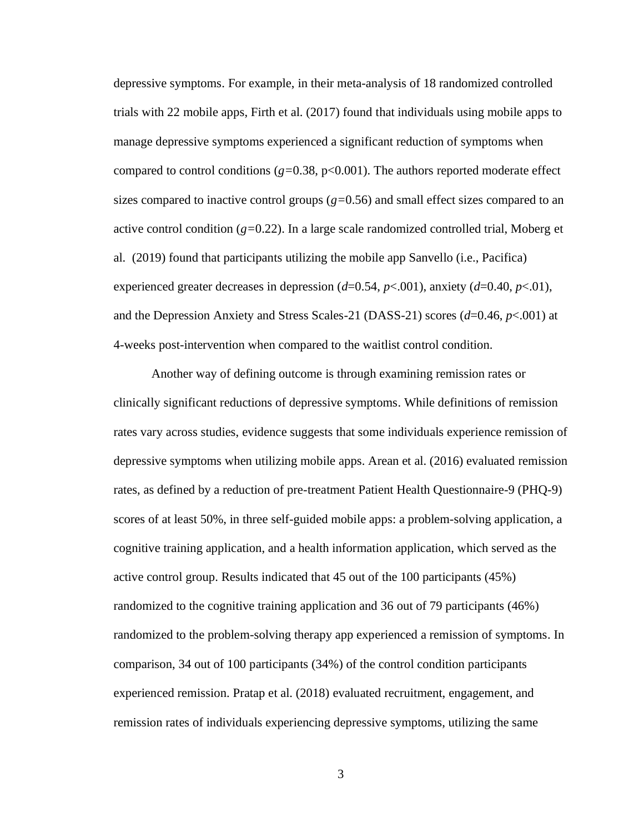depressive symptoms. For example, in their meta-analysis of 18 randomized controlled trials with 22 mobile apps, Firth et al. (2017) found that individuals using mobile apps to manage depressive symptoms experienced a significant reduction of symptoms when compared to control conditions  $(g=0.38, p<0.001)$ . The authors reported moderate effect sizes compared to inactive control groups (*g=*0.56) and small effect sizes compared to an active control condition (*g=*0.22). In a large scale randomized controlled trial, Moberg et al. (2019) found that participants utilizing the mobile app Sanvello (i.e., Pacifica) experienced greater decreases in depression (*d*=0.54, *p*<.001), anxiety (*d*=0.40, *p*<.01), and the Depression Anxiety and Stress Scales-21 (DASS-21) scores (*d*=0.46, *p*<.001) at 4-weeks post-intervention when compared to the waitlist control condition.

Another way of defining outcome is through examining remission rates or clinically significant reductions of depressive symptoms. While definitions of remission rates vary across studies, evidence suggests that some individuals experience remission of depressive symptoms when utilizing mobile apps. Arean et al. (2016) evaluated remission rates, as defined by a reduction of pre-treatment Patient Health Questionnaire-9 (PHQ-9) scores of at least 50%, in three self-guided mobile apps: a problem-solving application, a cognitive training application, and a health information application, which served as the active control group. Results indicated that 45 out of the 100 participants (45%) randomized to the cognitive training application and 36 out of 79 participants (46%) randomized to the problem-solving therapy app experienced a remission of symptoms. In comparison, 34 out of 100 participants (34%) of the control condition participants experienced remission. Pratap et al. (2018) evaluated recruitment, engagement, and remission rates of individuals experiencing depressive symptoms, utilizing the same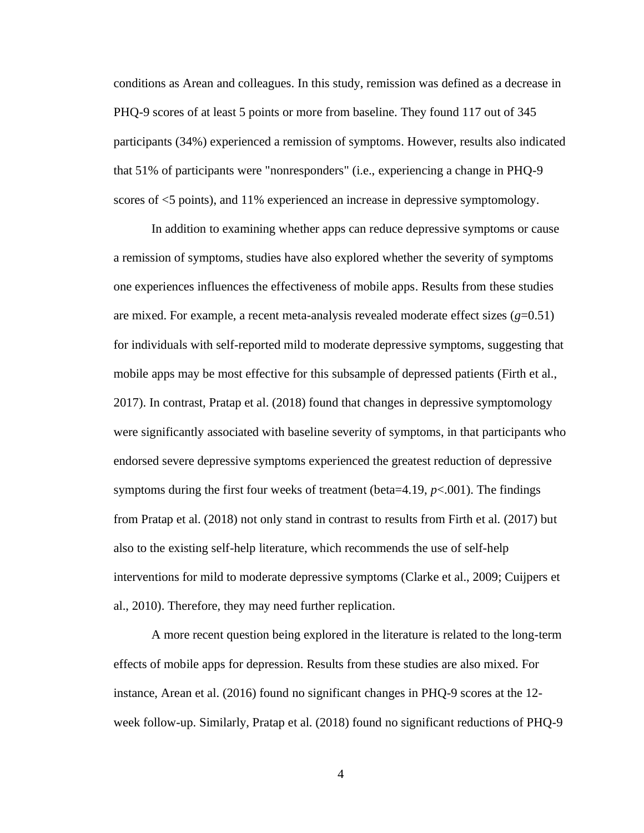conditions as Arean and colleagues. In this study, remission was defined as a decrease in PHQ-9 scores of at least 5 points or more from baseline. They found 117 out of 345 participants (34%) experienced a remission of symptoms. However, results also indicated that 51% of participants were "nonresponders" (i.e., experiencing a change in PHQ-9 scores of <5 points), and 11% experienced an increase in depressive symptomology.

In addition to examining whether apps can reduce depressive symptoms or cause a remission of symptoms, studies have also explored whether the severity of symptoms one experiences influences the effectiveness of mobile apps. Results from these studies are mixed. For example, a recent meta-analysis revealed moderate effect sizes  $(g=0.51)$ for individuals with self-reported mild to moderate depressive symptoms, suggesting that mobile apps may be most effective for this subsample of depressed patients (Firth et al., 2017). In contrast, Pratap et al. (2018) found that changes in depressive symptomology were significantly associated with baseline severity of symptoms, in that participants who endorsed severe depressive symptoms experienced the greatest reduction of depressive symptoms during the first four weeks of treatment (beta=4.19, *p*<.001). The findings from Pratap et al. (2018) not only stand in contrast to results from Firth et al. (2017) but also to the existing self-help literature, which recommends the use of self-help interventions for mild to moderate depressive symptoms (Clarke et al., 2009; Cuijpers et al., 2010). Therefore, they may need further replication.

A more recent question being explored in the literature is related to the long-term effects of mobile apps for depression. Results from these studies are also mixed. For instance, Arean et al. (2016) found no significant changes in PHQ-9 scores at the 12 week follow-up. Similarly, Pratap et al. (2018) found no significant reductions of PHQ-9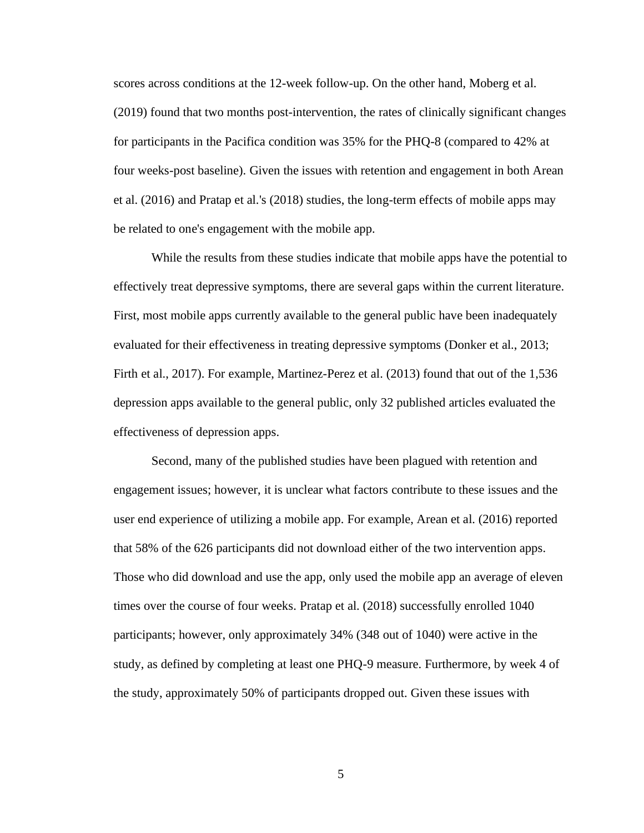scores across conditions at the 12-week follow-up. On the other hand, Moberg et al. (2019) found that two months post-intervention, the rates of clinically significant changes for participants in the Pacifica condition was 35% for the PHQ-8 (compared to 42% at four weeks-post baseline). Given the issues with retention and engagement in both Arean et al. (2016) and Pratap et al.'s (2018) studies, the long-term effects of mobile apps may be related to one's engagement with the mobile app.

While the results from these studies indicate that mobile apps have the potential to effectively treat depressive symptoms, there are several gaps within the current literature. First, most mobile apps currently available to the general public have been inadequately evaluated for their effectiveness in treating depressive symptoms (Donker et al., 2013; Firth et al., 2017). For example, Martinez-Perez et al. (2013) found that out of the 1,536 depression apps available to the general public, only 32 published articles evaluated the effectiveness of depression apps.

Second, many of the published studies have been plagued with retention and engagement issues; however, it is unclear what factors contribute to these issues and the user end experience of utilizing a mobile app. For example, Arean et al. (2016) reported that 58% of the 626 participants did not download either of the two intervention apps. Those who did download and use the app, only used the mobile app an average of eleven times over the course of four weeks. Pratap et al. (2018) successfully enrolled 1040 participants; however, only approximately 34% (348 out of 1040) were active in the study, as defined by completing at least one PHQ-9 measure. Furthermore, by week 4 of the study, approximately 50% of participants dropped out. Given these issues with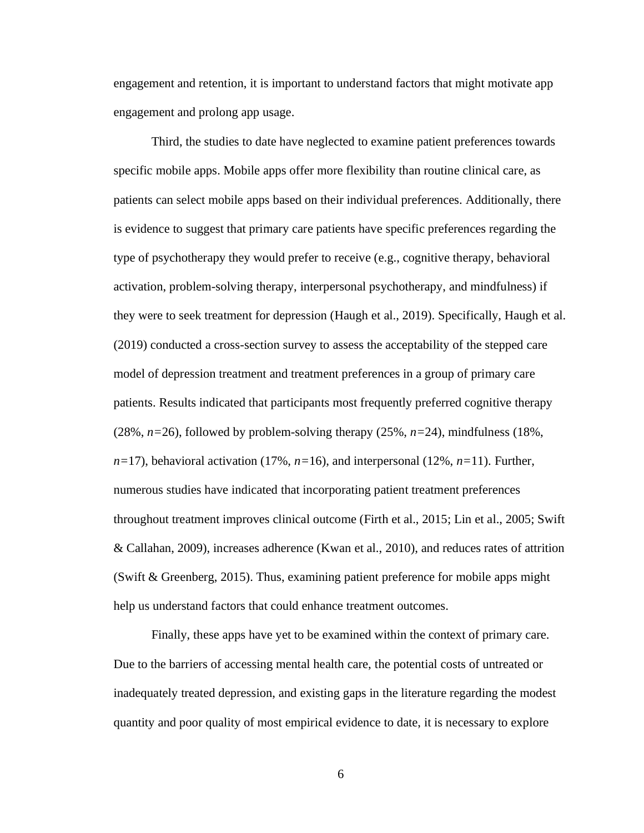engagement and retention, it is important to understand factors that might motivate app engagement and prolong app usage.

Third, the studies to date have neglected to examine patient preferences towards specific mobile apps. Mobile apps offer more flexibility than routine clinical care, as patients can select mobile apps based on their individual preferences. Additionally, there is evidence to suggest that primary care patients have specific preferences regarding the type of psychotherapy they would prefer to receive (e.g., cognitive therapy, behavioral activation, problem-solving therapy, interpersonal psychotherapy, and mindfulness) if they were to seek treatment for depression (Haugh et al., 2019). Specifically, Haugh et al. (2019) conducted a cross-section survey to assess the acceptability of the stepped care model of depression treatment and treatment preferences in a group of primary care patients. Results indicated that participants most frequently preferred cognitive therapy (28%, *n=*26), followed by problem-solving therapy (25%, *n=*24), mindfulness (18%, *n=*17), behavioral activation (17%, *n=*16), and interpersonal (12%, *n=*11). Further, numerous studies have indicated that incorporating patient treatment preferences throughout treatment improves clinical outcome (Firth et al., 2015; Lin et al., 2005; Swift & Callahan, 2009), increases adherence (Kwan et al., 2010), and reduces rates of attrition (Swift & Greenberg, 2015). Thus, examining patient preference for mobile apps might help us understand factors that could enhance treatment outcomes.

Finally, these apps have yet to be examined within the context of primary care. Due to the barriers of accessing mental health care, the potential costs of untreated or inadequately treated depression, and existing gaps in the literature regarding the modest quantity and poor quality of most empirical evidence to date, it is necessary to explore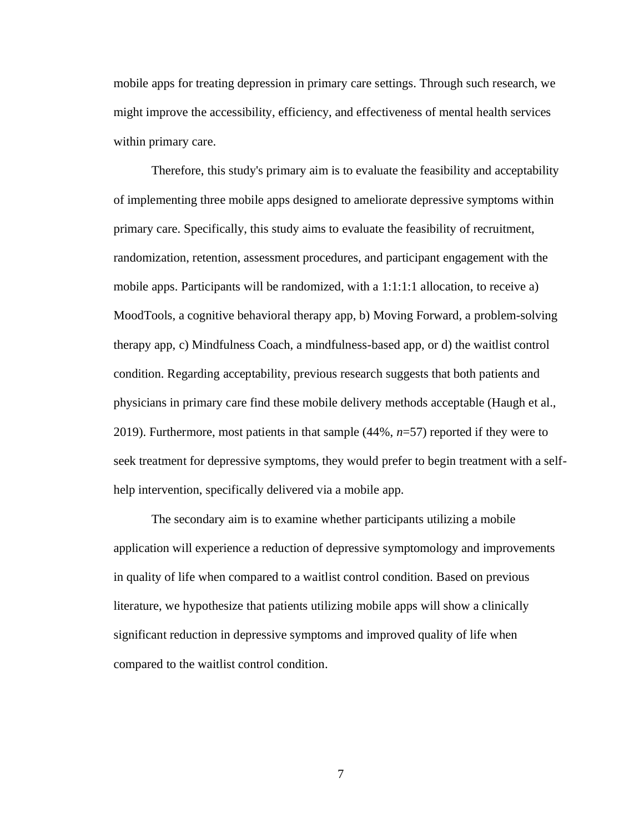mobile apps for treating depression in primary care settings. Through such research, we might improve the accessibility, efficiency, and effectiveness of mental health services within primary care.

Therefore, this study's primary aim is to evaluate the feasibility and acceptability of implementing three mobile apps designed to ameliorate depressive symptoms within primary care. Specifically, this study aims to evaluate the feasibility of recruitment, randomization, retention, assessment procedures, and participant engagement with the mobile apps. Participants will be randomized, with a 1:1:1:1 allocation, to receive a) MoodTools, a cognitive behavioral therapy app, b) Moving Forward, a problem-solving therapy app, c) Mindfulness Coach, a mindfulness-based app, or d) the waitlist control condition. Regarding acceptability, previous research suggests that both patients and physicians in primary care find these mobile delivery methods acceptable (Haugh et al., 2019). Furthermore, most patients in that sample (44%, *n*=57) reported if they were to seek treatment for depressive symptoms, they would prefer to begin treatment with a selfhelp intervention, specifically delivered via a mobile app.

The secondary aim is to examine whether participants utilizing a mobile application will experience a reduction of depressive symptomology and improvements in quality of life when compared to a waitlist control condition. Based on previous literature, we hypothesize that patients utilizing mobile apps will show a clinically significant reduction in depressive symptoms and improved quality of life when compared to the waitlist control condition.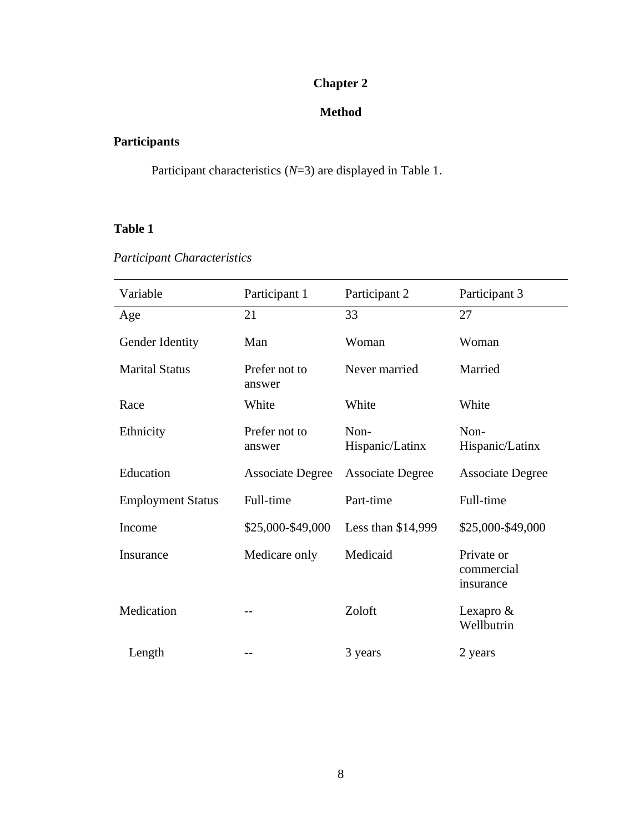# **Chapter 2**

### **Method**

# **Participants**

Participant characteristics (*N*=3) are displayed in Table 1.

### **Table 1**

# *Participant Characteristics*

| Variable                 | Participant 1           | Participant 2           | Participant 3                         |
|--------------------------|-------------------------|-------------------------|---------------------------------------|
| Age                      | 21                      | 33                      | 27                                    |
| Gender Identity          | Man                     | Woman                   | Woman                                 |
| <b>Marital Status</b>    | Prefer not to<br>answer | Never married           | Married                               |
| Race                     | White                   | White                   | White                                 |
| Ethnicity                | Prefer not to<br>answer | Non-<br>Hispanic/Latinx | Non-<br>Hispanic/Latinx               |
| Education                | <b>Associate Degree</b> | <b>Associate Degree</b> | <b>Associate Degree</b>               |
| <b>Employment Status</b> | Full-time               | Part-time               | Full-time                             |
| Income                   | \$25,000-\$49,000       | Less than \$14,999      | \$25,000-\$49,000                     |
| Insurance                | Medicare only           | Medicaid                | Private or<br>commercial<br>insurance |
| Medication               |                         | Zoloft                  | Lexapro $&$<br>Wellbutrin             |
| Length                   |                         | 3 years                 | 2 years                               |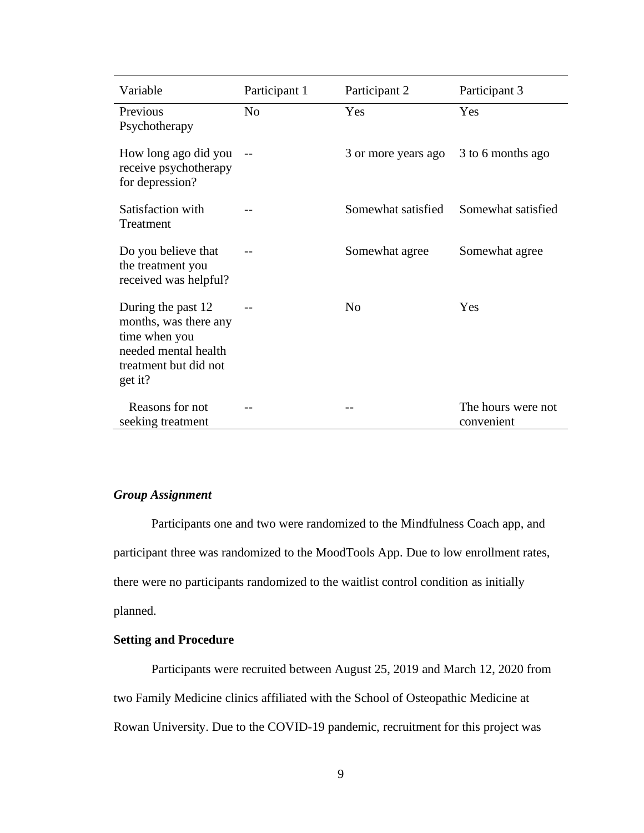| Variable                                                                                                                 | Participant 1  | Participant 2       | Participant 3                    |
|--------------------------------------------------------------------------------------------------------------------------|----------------|---------------------|----------------------------------|
| Previous<br>Psychotherapy                                                                                                | N <sub>o</sub> | Yes                 | Yes                              |
| How long ago did you<br>receive psychotherapy<br>for depression?                                                         |                | 3 or more years ago | 3 to 6 months ago                |
| Satisfaction with<br>Treatment                                                                                           |                | Somewhat satisfied  | Somewhat satisfied               |
| Do you believe that<br>the treatment you<br>received was helpful?                                                        |                | Somewhat agree      | Somewhat agree                   |
| During the past 12<br>months, was there any<br>time when you<br>needed mental health<br>treatment but did not<br>get it? |                | No                  | Yes                              |
| Reasons for not<br>seeking treatment                                                                                     |                |                     | The hours were not<br>convenient |

### *Group Assignment*

Participants one and two were randomized to the Mindfulness Coach app, and participant three was randomized to the MoodTools App. Due to low enrollment rates, there were no participants randomized to the waitlist control condition as initially planned.

### **Setting and Procedure**

Participants were recruited between August 25, 2019 and March 12, 2020 from two Family Medicine clinics affiliated with the School of Osteopathic Medicine at Rowan University. Due to the COVID-19 pandemic, recruitment for this project was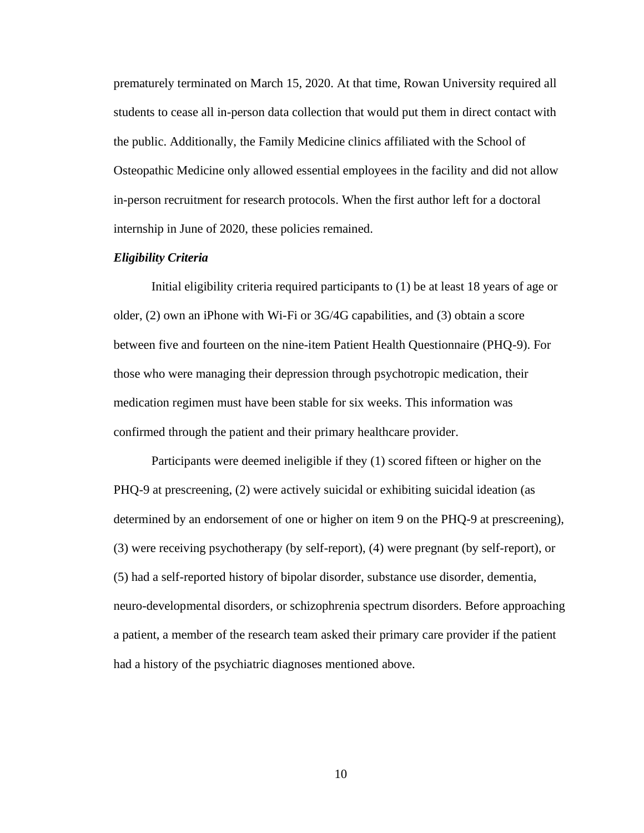prematurely terminated on March 15, 2020. At that time, Rowan University required all students to cease all in-person data collection that would put them in direct contact with the public. Additionally, the Family Medicine clinics affiliated with the School of Osteopathic Medicine only allowed essential employees in the facility and did not allow in-person recruitment for research protocols. When the first author left for a doctoral internship in June of 2020, these policies remained.

#### *Eligibility Criteria*

Initial eligibility criteria required participants to (1) be at least 18 years of age or older, (2) own an iPhone with Wi-Fi or 3G/4G capabilities, and (3) obtain a score between five and fourteen on the nine-item Patient Health Questionnaire (PHQ-9). For those who were managing their depression through psychotropic medication, their medication regimen must have been stable for six weeks. This information was confirmed through the patient and their primary healthcare provider.

Participants were deemed ineligible if they (1) scored fifteen or higher on the PHQ-9 at prescreening, (2) were actively suicidal or exhibiting suicidal ideation (as determined by an endorsement of one or higher on item 9 on the PHQ-9 at prescreening), (3) were receiving psychotherapy (by self-report), (4) were pregnant (by self-report), or (5) had a self-reported history of bipolar disorder, substance use disorder, dementia, neuro-developmental disorders, or schizophrenia spectrum disorders. Before approaching a patient, a member of the research team asked their primary care provider if the patient had a history of the psychiatric diagnoses mentioned above.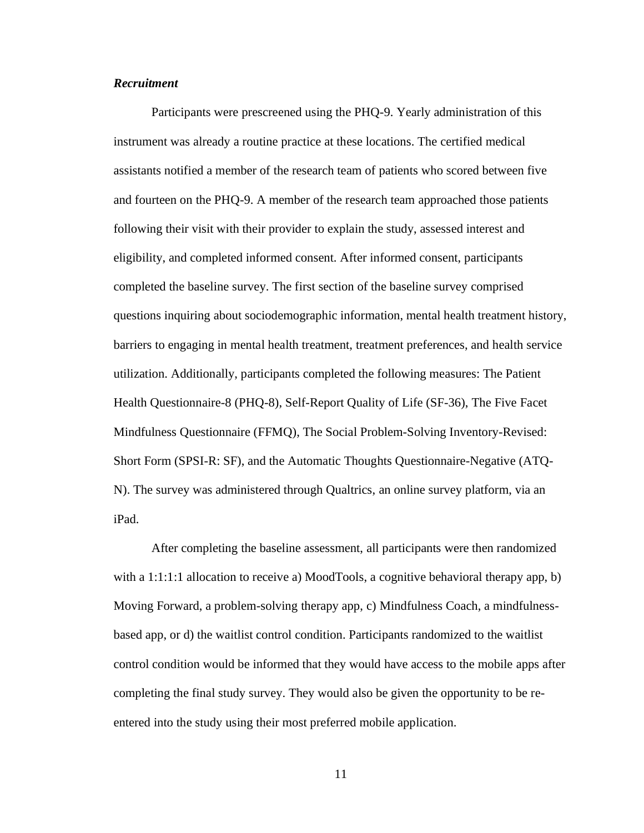#### *Recruitment*

Participants were prescreened using the PHQ-9. Yearly administration of this instrument was already a routine practice at these locations. The certified medical assistants notified a member of the research team of patients who scored between five and fourteen on the PHQ-9. A member of the research team approached those patients following their visit with their provider to explain the study, assessed interest and eligibility, and completed informed consent. After informed consent, participants completed the baseline survey. The first section of the baseline survey comprised questions inquiring about sociodemographic information, mental health treatment history, barriers to engaging in mental health treatment, treatment preferences, and health service utilization. Additionally, participants completed the following measures: The Patient Health Questionnaire-8 (PHQ-8), Self-Report Quality of Life (SF-36), The Five Facet Mindfulness Questionnaire (FFMQ), The Social Problem-Solving Inventory-Revised: Short Form (SPSI-R: SF), and the Automatic Thoughts Questionnaire-Negative (ATQ-N). The survey was administered through Qualtrics, an online survey platform, via an iPad.

After completing the baseline assessment, all participants were then randomized with a 1:1:1:1 allocation to receive a) MoodTools, a cognitive behavioral therapy app, b) Moving Forward, a problem-solving therapy app, c) Mindfulness Coach, a mindfulnessbased app, or d) the waitlist control condition. Participants randomized to the waitlist control condition would be informed that they would have access to the mobile apps after completing the final study survey. They would also be given the opportunity to be reentered into the study using their most preferred mobile application.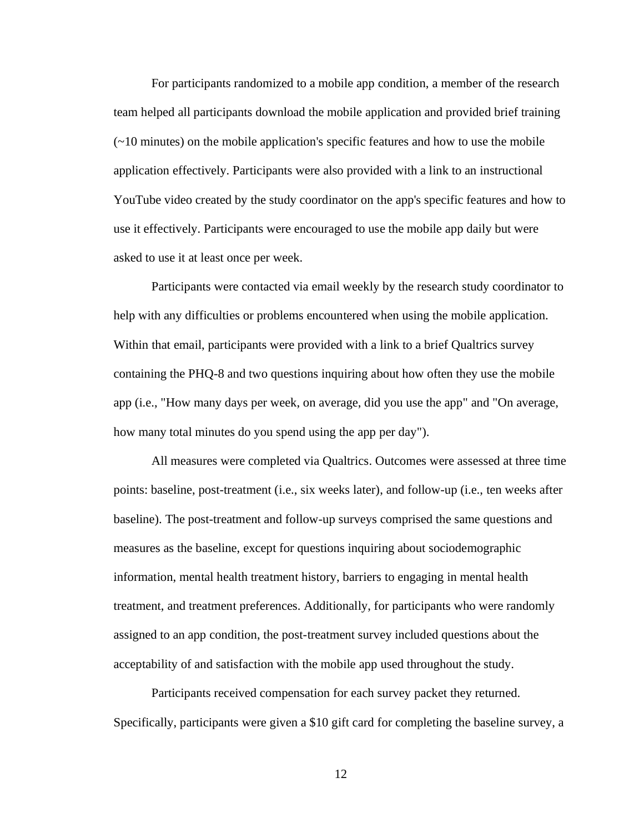For participants randomized to a mobile app condition, a member of the research team helped all participants download the mobile application and provided brief training (~10 minutes) on the mobile application's specific features and how to use the mobile application effectively. Participants were also provided with a link to an instructional YouTube video created by the study coordinator on the app's specific features and how to use it effectively. Participants were encouraged to use the mobile app daily but were asked to use it at least once per week.

Participants were contacted via email weekly by the research study coordinator to help with any difficulties or problems encountered when using the mobile application. Within that email, participants were provided with a link to a brief Qualtrics survey containing the PHQ-8 and two questions inquiring about how often they use the mobile app (i.e., "How many days per week, on average, did you use the app" and "On average, how many total minutes do you spend using the app per day").

All measures were completed via Qualtrics. Outcomes were assessed at three time points: baseline, post-treatment (i.e., six weeks later), and follow-up (i.e., ten weeks after baseline). The post-treatment and follow-up surveys comprised the same questions and measures as the baseline, except for questions inquiring about sociodemographic information, mental health treatment history, barriers to engaging in mental health treatment, and treatment preferences. Additionally, for participants who were randomly assigned to an app condition, the post-treatment survey included questions about the acceptability of and satisfaction with the mobile app used throughout the study.

Participants received compensation for each survey packet they returned. Specifically, participants were given a \$10 gift card for completing the baseline survey, a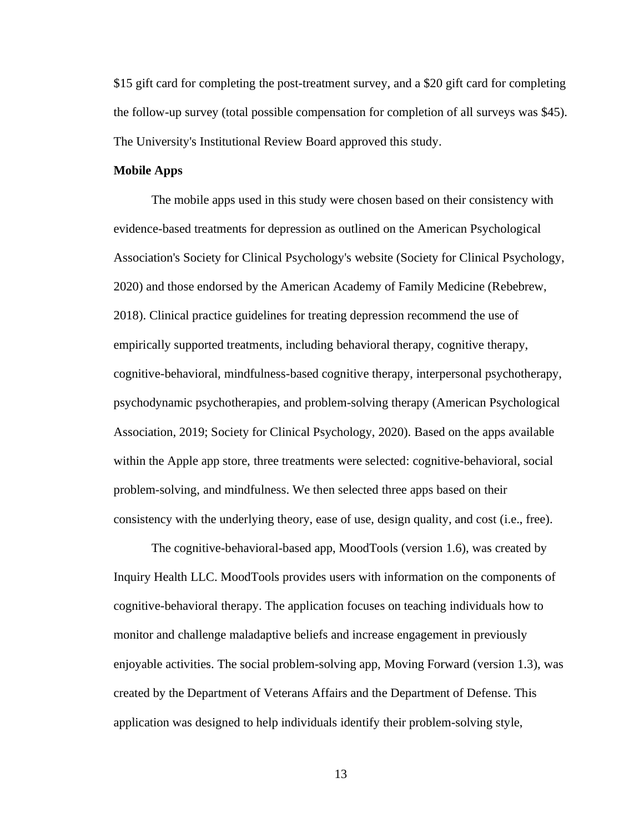\$15 gift card for completing the post-treatment survey, and a \$20 gift card for completing the follow-up survey (total possible compensation for completion of all surveys was \$45). The University's Institutional Review Board approved this study.

#### **Mobile Apps**

The mobile apps used in this study were chosen based on their consistency with evidence-based treatments for depression as outlined on the American Psychological Association's Society for Clinical Psychology's website (Society for Clinical Psychology, 2020) and those endorsed by the American Academy of Family Medicine (Rebebrew, 2018). Clinical practice guidelines for treating depression recommend the use of empirically supported treatments, including behavioral therapy, cognitive therapy, cognitive-behavioral, mindfulness-based cognitive therapy, interpersonal psychotherapy, psychodynamic psychotherapies, and problem-solving therapy (American Psychological Association, 2019; Society for Clinical Psychology, 2020). Based on the apps available within the Apple app store, three treatments were selected: cognitive-behavioral, social problem-solving, and mindfulness. We then selected three apps based on their consistency with the underlying theory, ease of use, design quality, and cost (i.e., free).

The cognitive-behavioral-based app, MoodTools (version 1.6), was created by Inquiry Health LLC. MoodTools provides users with information on the components of cognitive-behavioral therapy. The application focuses on teaching individuals how to monitor and challenge maladaptive beliefs and increase engagement in previously enjoyable activities. The social problem-solving app, Moving Forward (version 1.3), was created by the Department of Veterans Affairs and the Department of Defense. This application was designed to help individuals identify their problem-solving style,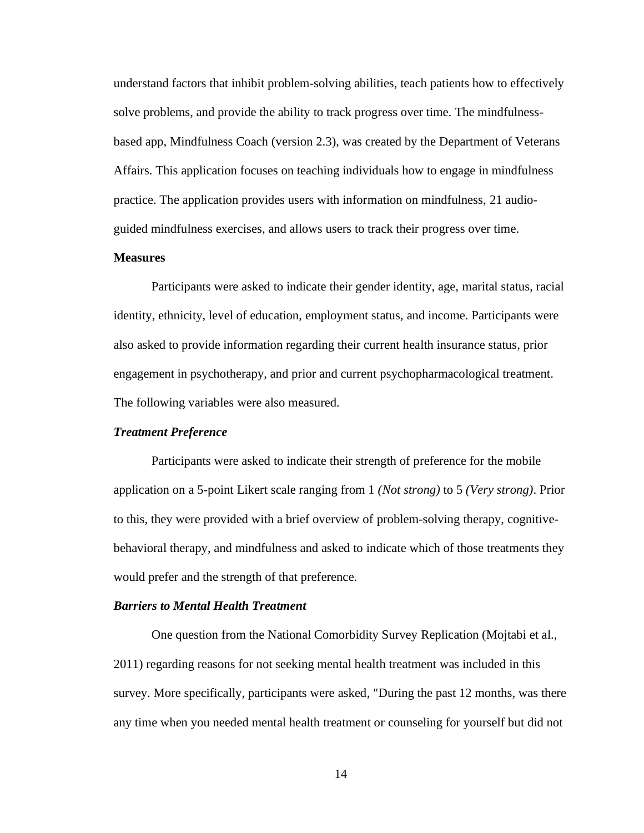understand factors that inhibit problem-solving abilities, teach patients how to effectively solve problems, and provide the ability to track progress over time. The mindfulnessbased app, Mindfulness Coach (version 2.3), was created by the Department of Veterans Affairs. This application focuses on teaching individuals how to engage in mindfulness practice. The application provides users with information on mindfulness, 21 audioguided mindfulness exercises, and allows users to track their progress over time.

#### **Measures**

Participants were asked to indicate their gender identity, age, marital status, racial identity, ethnicity, level of education, employment status, and income. Participants were also asked to provide information regarding their current health insurance status, prior engagement in psychotherapy, and prior and current psychopharmacological treatment. The following variables were also measured.

#### *Treatment Preference*

Participants were asked to indicate their strength of preference for the mobile application on a 5-point Likert scale ranging from 1 *(Not strong)* to 5 *(Very strong)*. Prior to this, they were provided with a brief overview of problem-solving therapy, cognitivebehavioral therapy, and mindfulness and asked to indicate which of those treatments they would prefer and the strength of that preference.

#### *Barriers to Mental Health Treatment*

One question from the National Comorbidity Survey Replication (Mojtabi et al., 2011) regarding reasons for not seeking mental health treatment was included in this survey. More specifically, participants were asked, "During the past 12 months, was there any time when you needed mental health treatment or counseling for yourself but did not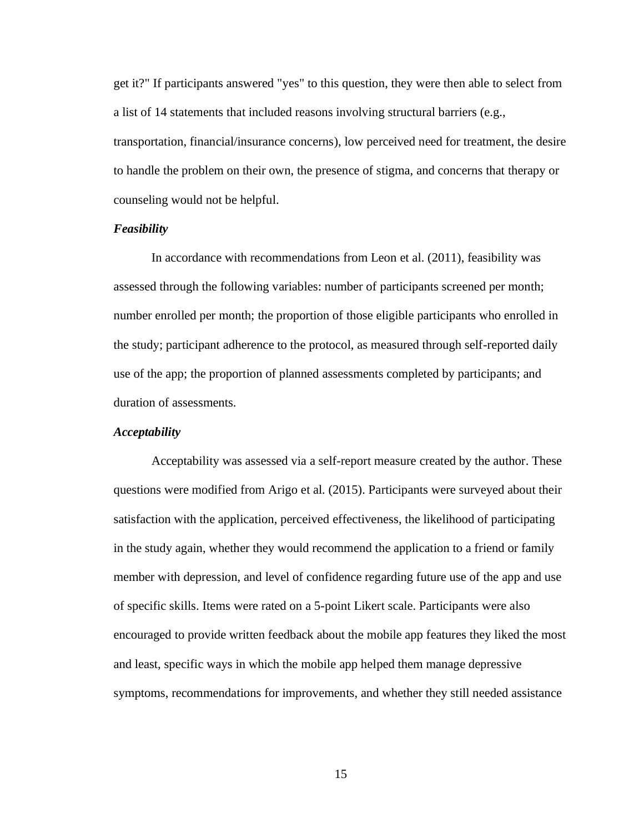get it?" If participants answered "yes" to this question, they were then able to select from a list of 14 statements that included reasons involving structural barriers (e.g., transportation, financial/insurance concerns), low perceived need for treatment, the desire to handle the problem on their own, the presence of stigma, and concerns that therapy or counseling would not be helpful.

#### *Feasibility*

In accordance with recommendations from Leon et al. (2011), feasibility was assessed through the following variables: number of participants screened per month; number enrolled per month; the proportion of those eligible participants who enrolled in the study; participant adherence to the protocol, as measured through self-reported daily use of the app; the proportion of planned assessments completed by participants; and duration of assessments.

#### *Acceptability*

Acceptability was assessed via a self-report measure created by the author. These questions were modified from Arigo et al. (2015). Participants were surveyed about their satisfaction with the application, perceived effectiveness, the likelihood of participating in the study again, whether they would recommend the application to a friend or family member with depression, and level of confidence regarding future use of the app and use of specific skills. Items were rated on a 5-point Likert scale. Participants were also encouraged to provide written feedback about the mobile app features they liked the most and least, specific ways in which the mobile app helped them manage depressive symptoms, recommendations for improvements, and whether they still needed assistance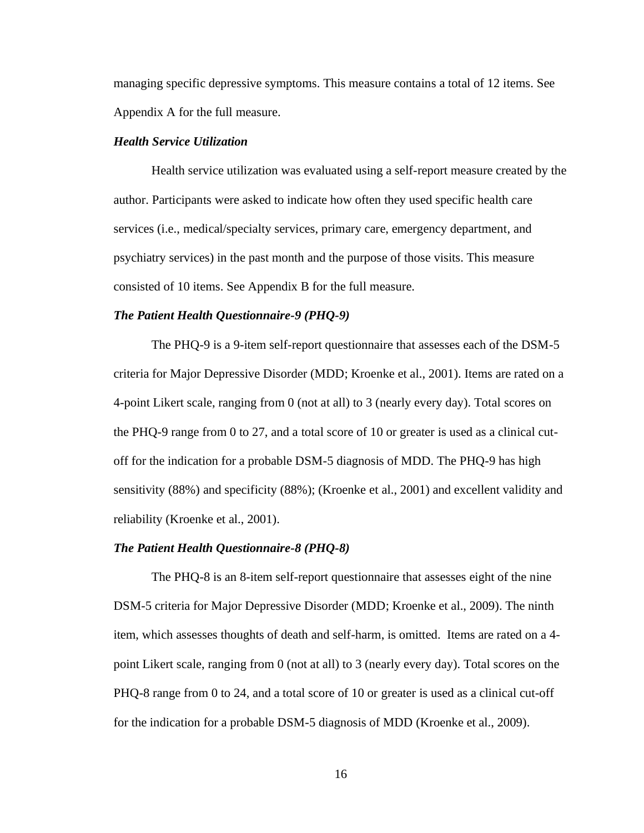managing specific depressive symptoms. This measure contains a total of 12 items. See Appendix A for the full measure.

#### *Health Service Utilization*

Health service utilization was evaluated using a self-report measure created by the author. Participants were asked to indicate how often they used specific health care services (i.e., medical/specialty services, primary care, emergency department, and psychiatry services) in the past month and the purpose of those visits. This measure consisted of 10 items. See Appendix B for the full measure.

#### *The Patient Health Questionnaire-9 (PHQ-9)*

The PHQ-9 is a 9-item self-report questionnaire that assesses each of the DSM-5 criteria for Major Depressive Disorder (MDD; Kroenke et al., 2001). Items are rated on a 4-point Likert scale, ranging from 0 (not at all) to 3 (nearly every day). Total scores on the PHQ-9 range from 0 to 27, and a total score of 10 or greater is used as a clinical cutoff for the indication for a probable DSM-5 diagnosis of MDD. The PHQ-9 has high sensitivity (88%) and specificity (88%); (Kroenke et al., 2001) and excellent validity and reliability (Kroenke et al., 2001).

#### *The Patient Health Questionnaire-8 (PHQ-8)*

The PHQ-8 is an 8-item self-report questionnaire that assesses eight of the nine DSM-5 criteria for Major Depressive Disorder (MDD; Kroenke et al., 2009). The ninth item, which assesses thoughts of death and self-harm, is omitted. Items are rated on a 4 point Likert scale, ranging from 0 (not at all) to 3 (nearly every day). Total scores on the PHQ-8 range from 0 to 24, and a total score of 10 or greater is used as a clinical cut-off for the indication for a probable DSM-5 diagnosis of MDD (Kroenke et al., 2009).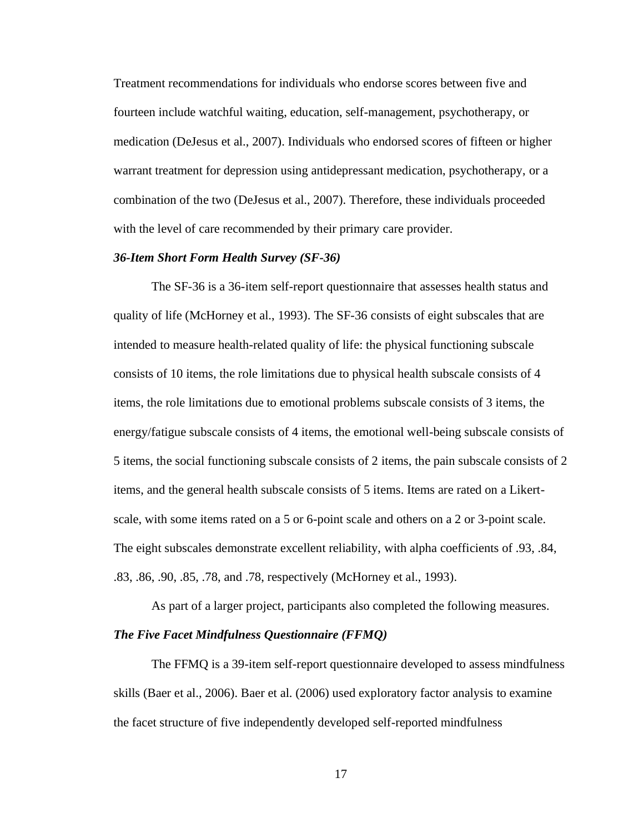Treatment recommendations for individuals who endorse scores between five and fourteen include watchful waiting, education, self-management, psychotherapy, or medication (DeJesus et al., 2007). Individuals who endorsed scores of fifteen or higher warrant treatment for depression using antidepressant medication, psychotherapy, or a combination of the two (DeJesus et al., 2007). Therefore, these individuals proceeded with the level of care recommended by their primary care provider.

#### *36-Item Short Form Health Survey (SF-36)*

The SF-36 is a 36-item self-report questionnaire that assesses health status and quality of life (McHorney et al., 1993). The SF-36 consists of eight subscales that are intended to measure health-related quality of life: the physical functioning subscale consists of 10 items, the role limitations due to physical health subscale consists of 4 items, the role limitations due to emotional problems subscale consists of 3 items, the energy/fatigue subscale consists of 4 items, the emotional well-being subscale consists of 5 items, the social functioning subscale consists of 2 items, the pain subscale consists of 2 items, and the general health subscale consists of 5 items. Items are rated on a Likertscale, with some items rated on a 5 or 6-point scale and others on a 2 or 3-point scale. The eight subscales demonstrate excellent reliability, with alpha coefficients of .93, .84, .83, .86, .90, .85, .78, and .78, respectively (McHorney et al., 1993).

As part of a larger project, participants also completed the following measures. *The Five Facet Mindfulness Questionnaire (FFMQ)*

The FFMQ is a 39-item self-report questionnaire developed to assess mindfulness skills (Baer et al., 2006). Baer et al. (2006) used exploratory factor analysis to examine the facet structure of five independently developed self-reported mindfulness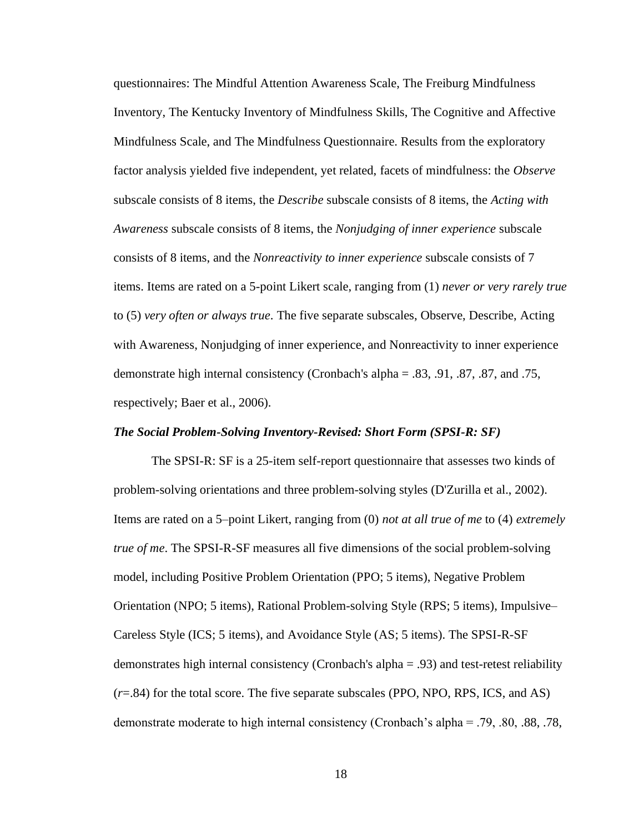questionnaires: The Mindful Attention Awareness Scale, The Freiburg Mindfulness Inventory, The Kentucky Inventory of Mindfulness Skills, The Cognitive and Affective Mindfulness Scale, and The Mindfulness Questionnaire. Results from the exploratory factor analysis yielded five independent, yet related, facets of mindfulness: the *Observe*  subscale consists of 8 items, the *Describe* subscale consists of 8 items, the *Acting with Awareness* subscale consists of 8 items, the *Nonjudging of inner experience* subscale consists of 8 items, and the *Nonreactivity to inner experience* subscale consists of 7 items. Items are rated on a 5-point Likert scale, ranging from (1) *never or very rarely true*  to (5) *very often or always true*. The five separate subscales, Observe, Describe, Acting with Awareness, Nonjudging of inner experience, and Nonreactivity to inner experience demonstrate high internal consistency (Cronbach's alpha = .83, .91, .87, .87, and .75, respectively; Baer et al., 2006).

#### *The Social Problem-Solving Inventory-Revised: Short Form (SPSI-R: SF)*

The SPSI-R: SF is a 25-item self-report questionnaire that assesses two kinds of problem-solving orientations and three problem-solving styles (D'Zurilla et al., 2002). Items are rated on a 5–point Likert, ranging from (0) *not at all true of me* to (4) *extremely true of me*. The SPSI-R-SF measures all five dimensions of the social problem-solving model, including Positive Problem Orientation (PPO; 5 items), Negative Problem Orientation (NPO; 5 items), Rational Problem-solving Style (RPS; 5 items), Impulsive– Careless Style (ICS; 5 items), and Avoidance Style (AS; 5 items). The SPSI-R-SF demonstrates high internal consistency (Cronbach's alpha = .93) and test-retest reliability (*r*=.84) for the total score. The five separate subscales (PPO, NPO, RPS, ICS, and AS) demonstrate moderate to high internal consistency (Cronbach's alpha = .79, .80, .88, .78,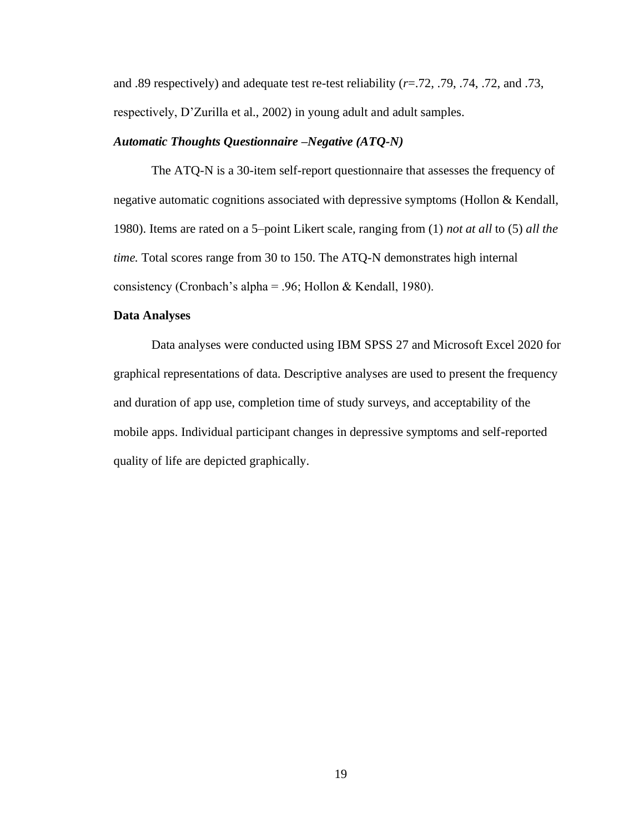and .89 respectively) and adequate test re-test reliability (*r*=.72, .79, .74, .72, and .73, respectively, D'Zurilla et al., 2002) in young adult and adult samples.

#### *Automatic Thoughts Questionnaire –Negative (ATQ-N)*

The ATQ-N is a 30-item self-report questionnaire that assesses the frequency of negative automatic cognitions associated with depressive symptoms (Hollon & Kendall, 1980). Items are rated on a 5–point Likert scale, ranging from (1) *not at all* to (5) *all the time.* Total scores range from 30 to 150. The ATQ-N demonstrates high internal consistency (Cronbach's alpha = .96; Hollon & Kendall, 1980).

#### **Data Analyses**

Data analyses were conducted using IBM SPSS 27 and Microsoft Excel 2020 for graphical representations of data. Descriptive analyses are used to present the frequency and duration of app use, completion time of study surveys, and acceptability of the mobile apps. Individual participant changes in depressive symptoms and self-reported quality of life are depicted graphically.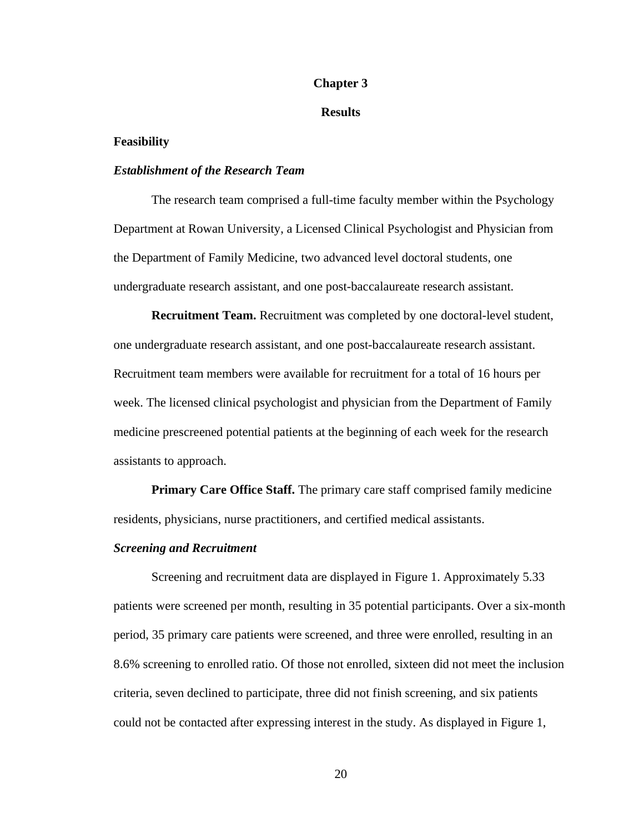#### **Chapter 3**

#### **Results**

#### **Feasibility**

#### *Establishment of the Research Team*

The research team comprised a full-time faculty member within the Psychology Department at Rowan University, a Licensed Clinical Psychologist and Physician from the Department of Family Medicine, two advanced level doctoral students, one undergraduate research assistant, and one post-baccalaureate research assistant.

**Recruitment Team.** Recruitment was completed by one doctoral-level student, one undergraduate research assistant, and one post-baccalaureate research assistant. Recruitment team members were available for recruitment for a total of 16 hours per week. The licensed clinical psychologist and physician from the Department of Family medicine prescreened potential patients at the beginning of each week for the research assistants to approach.

**Primary Care Office Staff.** The primary care staff comprised family medicine residents, physicians, nurse practitioners, and certified medical assistants.

#### *Screening and Recruitment*

Screening and recruitment data are displayed in Figure 1. Approximately 5.33 patients were screened per month, resulting in 35 potential participants. Over a six-month period, 35 primary care patients were screened, and three were enrolled, resulting in an 8.6% screening to enrolled ratio. Of those not enrolled, sixteen did not meet the inclusion criteria, seven declined to participate, three did not finish screening, and six patients could not be contacted after expressing interest in the study. As displayed in Figure 1,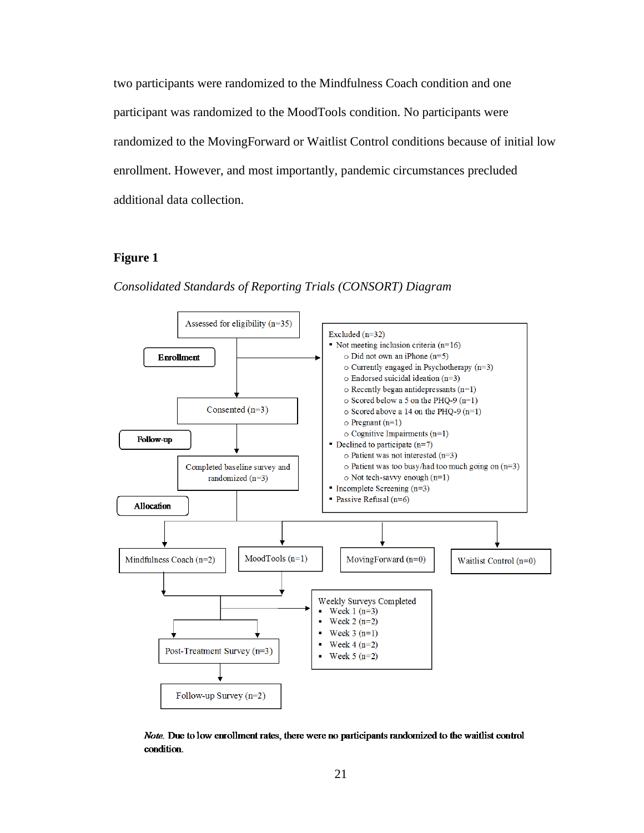two participants were randomized to the Mindfulness Coach condition and one participant was randomized to the MoodTools condition. No participants were randomized to the MovingForward or Waitlist Control conditions because of initial low enrollment. However, and most importantly, pandemic circumstances precluded additional data collection.

#### **Figure 1**



*Consolidated Standards of Reporting Trials (CONSORT) Diagram*

Note. Due to low enrollment rates, there were no participants randomized to the waitlist control condition.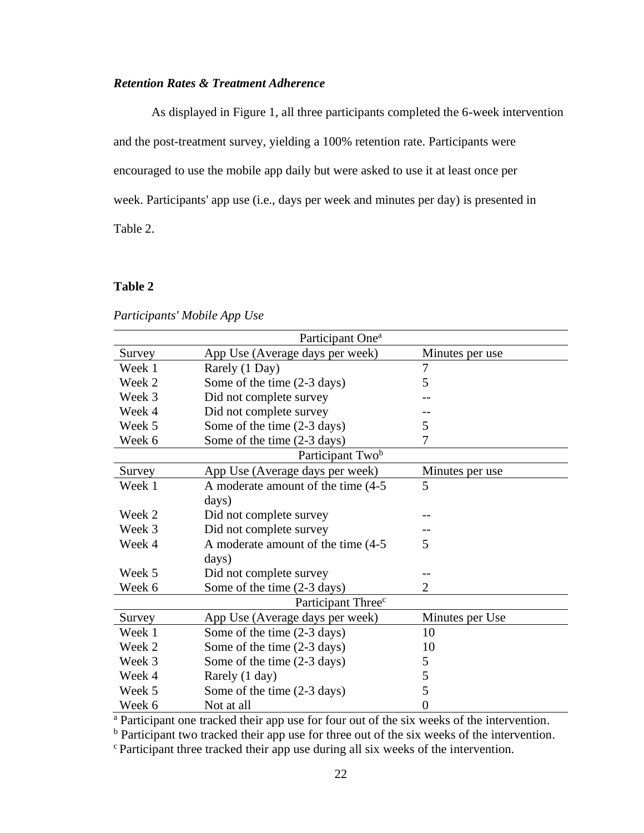### *Retention Rates & Treatment Adherence*

As displayed in Figure 1, all three participants completed the 6-week intervention and the post-treatment survey, yielding a 100% retention rate. Participants were encouraged to use the mobile app daily but were asked to use it at least once per week. Participants' app use (i.e., days per week and minutes per day) is presented in Table 2.

#### **Table 2**

*Participants' Mobile App Use*

| Participant One <sup>a</sup>   |                                       |                 |  |
|--------------------------------|---------------------------------------|-----------------|--|
| Survey                         | App Use (Average days per week)       | Minutes per use |  |
| Week 1                         | Rarely (1 Day)                        | 7               |  |
| Week 2                         | Some of the time (2-3 days)           | 5               |  |
| Week 3                         | Did not complete survey               |                 |  |
| Week 4                         | Did not complete survey               |                 |  |
| Week 5                         | Some of the time (2-3 days)           | 5               |  |
| Week 6                         | Some of the time (2-3 days)           | 7               |  |
|                                | Participant Twob                      |                 |  |
| Survey                         | App Use (Average days per week)       | Minutes per use |  |
| Week 1                         | A moderate amount of the time (4-5)   | 5               |  |
|                                | days)                                 |                 |  |
| Week 2                         | Did not complete survey               |                 |  |
| Week 3                         | Did not complete survey               |                 |  |
| Week 4                         | A moderate amount of the time (4-5)   | 5               |  |
|                                | days)                                 |                 |  |
| Week 5                         | Did not complete survey               |                 |  |
| Week 6                         | Some of the time $(2-3 \text{ days})$ | $\overline{2}$  |  |
| Participant Three <sup>c</sup> |                                       |                 |  |
| Survey                         | App Use (Average days per week)       | Minutes per Use |  |
| Week 1                         | Some of the time $(2-3 \text{ days})$ | 10              |  |
| Week 2                         | Some of the time (2-3 days)           | 10              |  |
| Week 3                         | Some of the time $(2-3 \text{ days})$ | 5               |  |
| Week 4                         | Rarely (1 day)                        | 5               |  |
| Week 5                         | Some of the time $(2-3 \text{ days})$ | 5               |  |
| Week 6                         | Not at all                            | 0               |  |

<sup>a</sup> Participant one tracked their app use for four out of the six weeks of the intervention.

<sup>b</sup> Participant two tracked their app use for three out of the six weeks of the intervention.

c Participant three tracked their app use during all six weeks of the intervention.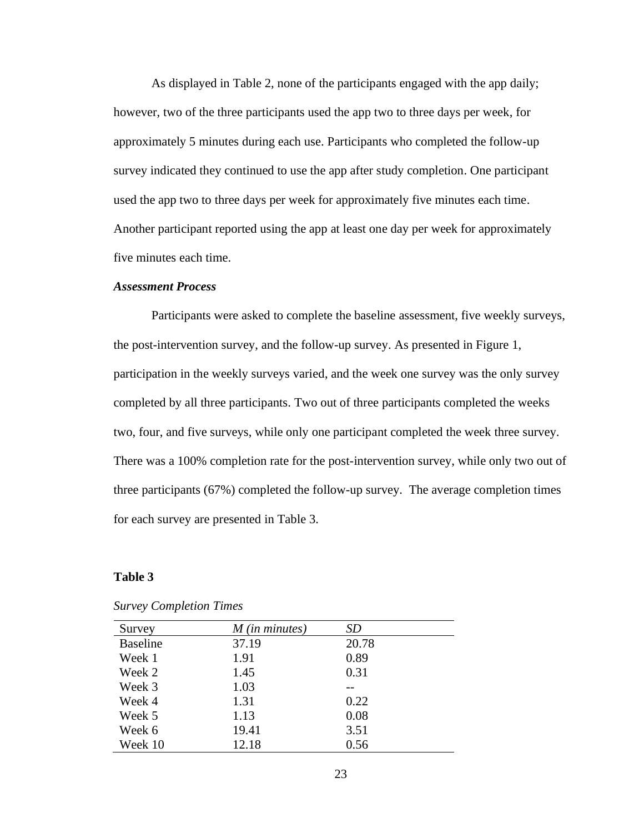As displayed in Table 2, none of the participants engaged with the app daily; however, two of the three participants used the app two to three days per week, for approximately 5 minutes during each use. Participants who completed the follow-up survey indicated they continued to use the app after study completion. One participant used the app two to three days per week for approximately five minutes each time. Another participant reported using the app at least one day per week for approximately five minutes each time.

#### *Assessment Process*

Participants were asked to complete the baseline assessment, five weekly surveys, the post-intervention survey, and the follow-up survey. As presented in Figure 1, participation in the weekly surveys varied, and the week one survey was the only survey completed by all three participants. Two out of three participants completed the weeks two, four, and five surveys, while only one participant completed the week three survey. There was a 100% completion rate for the post-intervention survey, while only two out of three participants (67%) completed the follow-up survey. The average completion times for each survey are presented in Table 3.

#### **Table 3**

| Survey          | $M$ (in minutes) | SD    |
|-----------------|------------------|-------|
| <b>Baseline</b> | 37.19            | 20.78 |
| Week 1          | 1.91             | 0.89  |
| Week 2          | 1.45             | 0.31  |
| Week 3          | 1.03             |       |
| Week 4          | 1.31             | 0.22  |
| Week 5          | 1.13             | 0.08  |
| Week 6          | 19.41            | 3.51  |
| Week 10         | 12.18            | 0.56  |

*Survey Completion Times*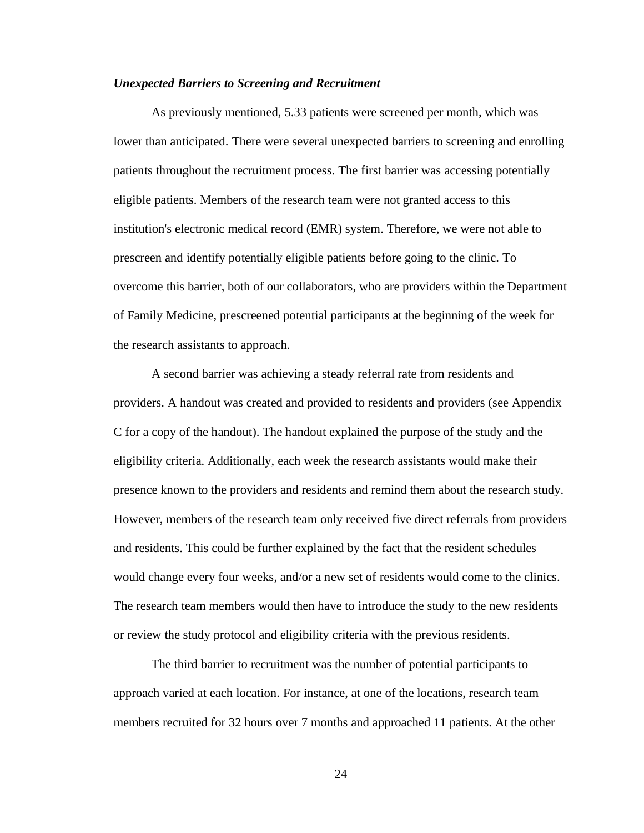#### *Unexpected Barriers to Screening and Recruitment*

As previously mentioned, 5.33 patients were screened per month, which was lower than anticipated. There were several unexpected barriers to screening and enrolling patients throughout the recruitment process. The first barrier was accessing potentially eligible patients. Members of the research team were not granted access to this institution's electronic medical record (EMR) system. Therefore, we were not able to prescreen and identify potentially eligible patients before going to the clinic. To overcome this barrier, both of our collaborators, who are providers within the Department of Family Medicine, prescreened potential participants at the beginning of the week for the research assistants to approach.

A second barrier was achieving a steady referral rate from residents and providers. A handout was created and provided to residents and providers (see Appendix C for a copy of the handout). The handout explained the purpose of the study and the eligibility criteria. Additionally, each week the research assistants would make their presence known to the providers and residents and remind them about the research study. However, members of the research team only received five direct referrals from providers and residents. This could be further explained by the fact that the resident schedules would change every four weeks, and/or a new set of residents would come to the clinics. The research team members would then have to introduce the study to the new residents or review the study protocol and eligibility criteria with the previous residents.

The third barrier to recruitment was the number of potential participants to approach varied at each location. For instance, at one of the locations, research team members recruited for 32 hours over 7 months and approached 11 patients. At the other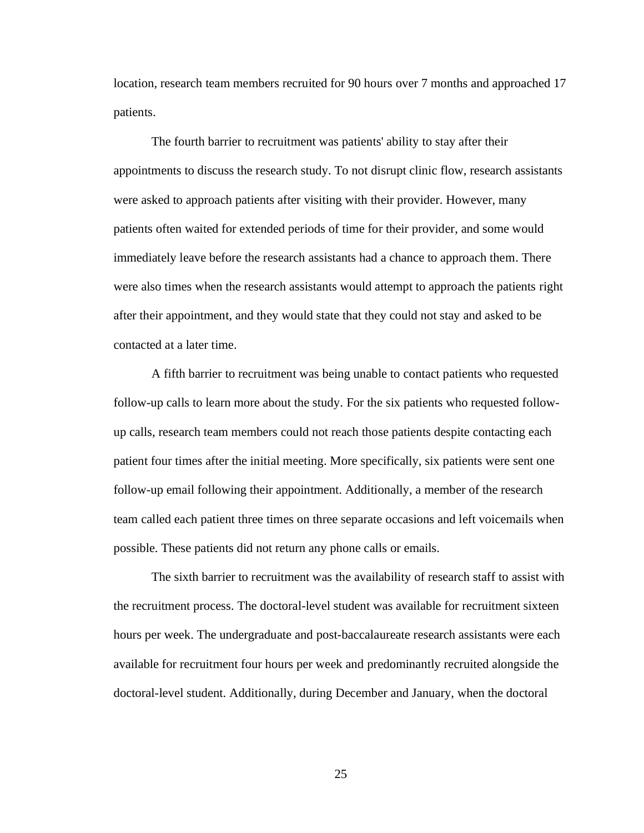location, research team members recruited for 90 hours over 7 months and approached 17 patients.

The fourth barrier to recruitment was patients' ability to stay after their appointments to discuss the research study. To not disrupt clinic flow, research assistants were asked to approach patients after visiting with their provider. However, many patients often waited for extended periods of time for their provider, and some would immediately leave before the research assistants had a chance to approach them. There were also times when the research assistants would attempt to approach the patients right after their appointment, and they would state that they could not stay and asked to be contacted at a later time.

A fifth barrier to recruitment was being unable to contact patients who requested follow-up calls to learn more about the study. For the six patients who requested followup calls, research team members could not reach those patients despite contacting each patient four times after the initial meeting. More specifically, six patients were sent one follow-up email following their appointment. Additionally, a member of the research team called each patient three times on three separate occasions and left voicemails when possible. These patients did not return any phone calls or emails.

The sixth barrier to recruitment was the availability of research staff to assist with the recruitment process. The doctoral-level student was available for recruitment sixteen hours per week. The undergraduate and post-baccalaureate research assistants were each available for recruitment four hours per week and predominantly recruited alongside the doctoral-level student. Additionally, during December and January, when the doctoral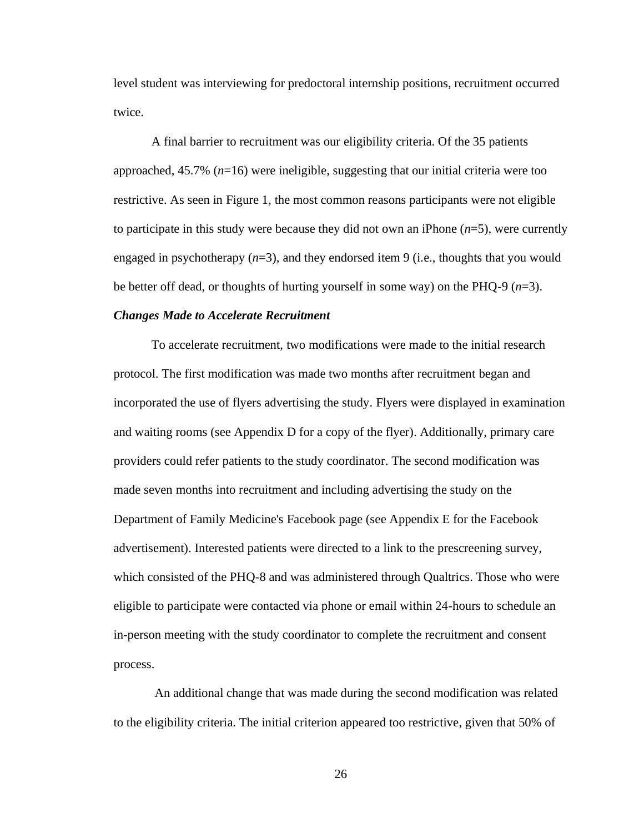level student was interviewing for predoctoral internship positions, recruitment occurred twice.

A final barrier to recruitment was our eligibility criteria. Of the 35 patients approached, 45.7% (*n*=16) were ineligible, suggesting that our initial criteria were too restrictive. As seen in Figure 1, the most common reasons participants were not eligible to participate in this study were because they did not own an iPhone (*n*=5), were currently engaged in psychotherapy (*n*=3), and they endorsed item 9 (i.e., thoughts that you would be better off dead, or thoughts of hurting yourself in some way) on the PHQ-9 (*n*=3).

### *Changes Made to Accelerate Recruitment*

To accelerate recruitment, two modifications were made to the initial research protocol. The first modification was made two months after recruitment began and incorporated the use of flyers advertising the study. Flyers were displayed in examination and waiting rooms (see Appendix D for a copy of the flyer). Additionally, primary care providers could refer patients to the study coordinator. The second modification was made seven months into recruitment and including advertising the study on the Department of Family Medicine's Facebook page (see Appendix E for the Facebook advertisement). Interested patients were directed to a link to the prescreening survey, which consisted of the PHQ-8 and was administered through Qualtrics. Those who were eligible to participate were contacted via phone or email within 24-hours to schedule an in-person meeting with the study coordinator to complete the recruitment and consent process.

An additional change that was made during the second modification was related to the eligibility criteria. The initial criterion appeared too restrictive, given that 50% of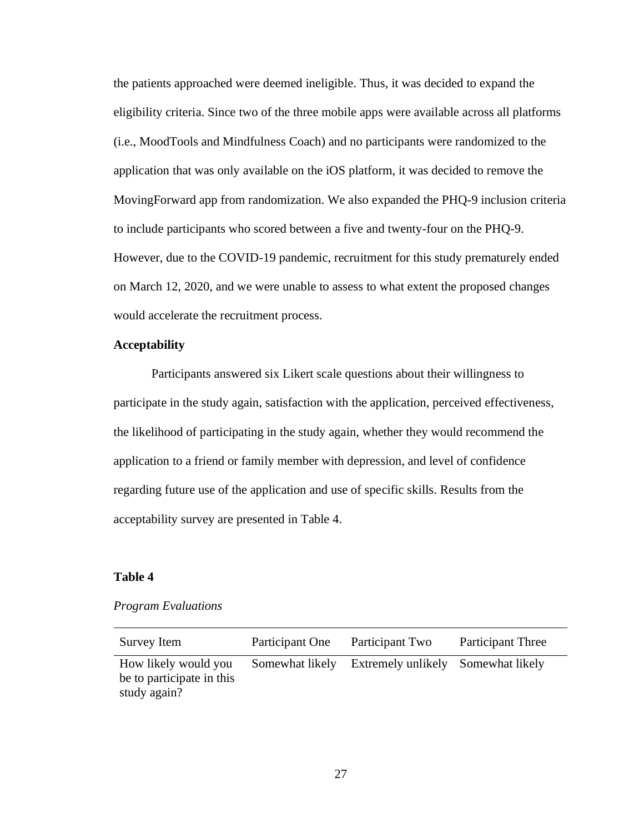the patients approached were deemed ineligible. Thus, it was decided to expand the eligibility criteria. Since two of the three mobile apps were available across all platforms (i.e., MoodTools and Mindfulness Coach) and no participants were randomized to the application that was only available on the iOS platform, it was decided to remove the MovingForward app from randomization. We also expanded the PHQ-9 inclusion criteria to include participants who scored between a five and twenty-four on the PHQ-9. However, due to the COVID-19 pandemic, recruitment for this study prematurely ended on March 12, 2020, and we were unable to assess to what extent the proposed changes would accelerate the recruitment process.

### **Acceptability**

Participants answered six Likert scale questions about their willingness to participate in the study again, satisfaction with the application, perceived effectiveness, the likelihood of participating in the study again, whether they would recommend the application to a friend or family member with depression, and level of confidence regarding future use of the application and use of specific skills. Results from the acceptability survey are presented in Table 4.

## **Table 4**

## *Program Evaluations*

| Survey Item                                                       | Participant One | Participant Two                                    | <b>Participant Three</b> |
|-------------------------------------------------------------------|-----------------|----------------------------------------------------|--------------------------|
| How likely would you<br>be to participate in this<br>study again? |                 | Somewhat likely Extremely unlikely Somewhat likely |                          |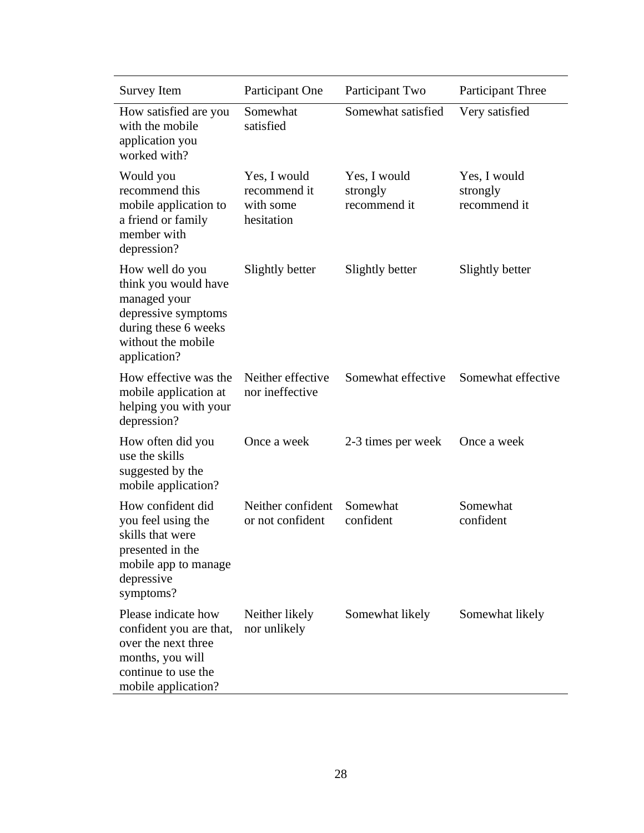| Survey Item                                                                                                                                  | Participant One                                         | Participant Two                          | Participant Three                        |
|----------------------------------------------------------------------------------------------------------------------------------------------|---------------------------------------------------------|------------------------------------------|------------------------------------------|
| How satisfied are you<br>with the mobile<br>application you<br>worked with?                                                                  | Somewhat<br>satisfied                                   | Somewhat satisfied                       | Very satisfied                           |
| Would you<br>recommend this<br>mobile application to<br>a friend or family<br>member with<br>depression?                                     | Yes, I would<br>recommend it<br>with some<br>hesitation | Yes, I would<br>strongly<br>recommend it | Yes, I would<br>strongly<br>recommend it |
| How well do you<br>think you would have<br>managed your<br>depressive symptoms<br>during these 6 weeks<br>without the mobile<br>application? | Slightly better                                         | Slightly better                          | Slightly better                          |
| How effective was the<br>mobile application at<br>helping you with your<br>depression?                                                       | Neither effective<br>nor ineffective                    | Somewhat effective                       | Somewhat effective                       |
| How often did you<br>use the skills<br>suggested by the<br>mobile application?                                                               | Once a week                                             | 2-3 times per week                       | Once a week                              |
| How confident did<br>you feel using the<br>skills that were<br>presented in the<br>mobile app to manage<br>depressive<br>symptoms?           | Neither confident<br>or not confident                   | Somewhat<br>confident                    | Somewhat<br>confident                    |
| Please indicate how<br>confident you are that,<br>over the next three<br>months, you will<br>continue to use the<br>mobile application?      | Neither likely<br>nor unlikely                          | Somewhat likely                          | Somewhat likely                          |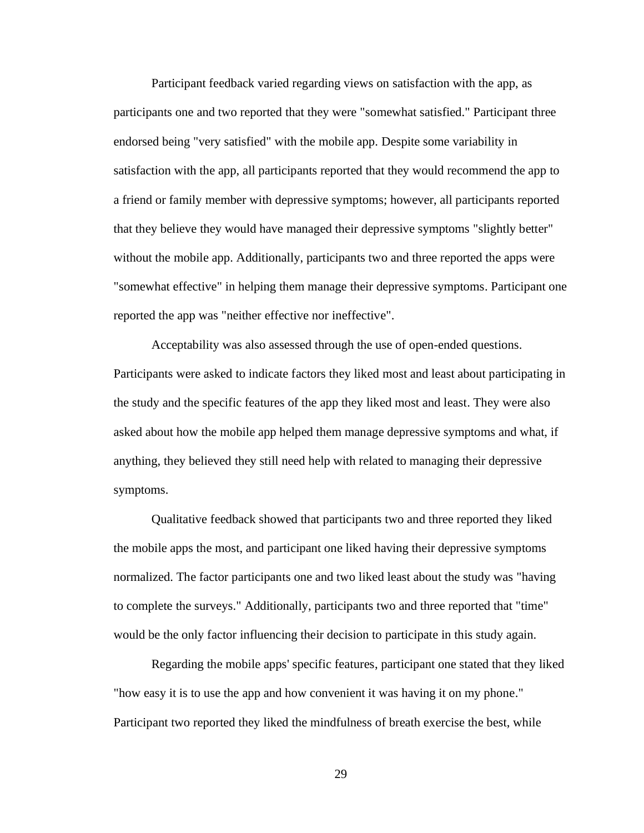Participant feedback varied regarding views on satisfaction with the app, as participants one and two reported that they were "somewhat satisfied." Participant three endorsed being "very satisfied" with the mobile app. Despite some variability in satisfaction with the app, all participants reported that they would recommend the app to a friend or family member with depressive symptoms; however, all participants reported that they believe they would have managed their depressive symptoms "slightly better" without the mobile app. Additionally, participants two and three reported the apps were "somewhat effective" in helping them manage their depressive symptoms. Participant one reported the app was "neither effective nor ineffective".

Acceptability was also assessed through the use of open-ended questions. Participants were asked to indicate factors they liked most and least about participating in the study and the specific features of the app they liked most and least. They were also asked about how the mobile app helped them manage depressive symptoms and what, if anything, they believed they still need help with related to managing their depressive symptoms.

Qualitative feedback showed that participants two and three reported they liked the mobile apps the most, and participant one liked having their depressive symptoms normalized. The factor participants one and two liked least about the study was "having to complete the surveys." Additionally, participants two and three reported that "time" would be the only factor influencing their decision to participate in this study again.

Regarding the mobile apps' specific features, participant one stated that they liked "how easy it is to use the app and how convenient it was having it on my phone." Participant two reported they liked the mindfulness of breath exercise the best, while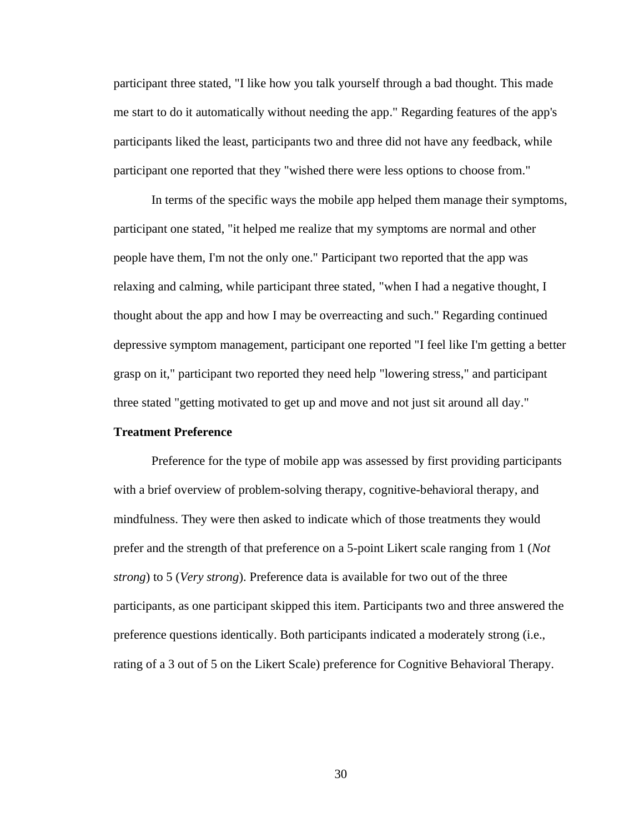participant three stated, "I like how you talk yourself through a bad thought. This made me start to do it automatically without needing the app." Regarding features of the app's participants liked the least, participants two and three did not have any feedback, while participant one reported that they "wished there were less options to choose from."

In terms of the specific ways the mobile app helped them manage their symptoms, participant one stated, "it helped me realize that my symptoms are normal and other people have them, I'm not the only one." Participant two reported that the app was relaxing and calming, while participant three stated, "when I had a negative thought, I thought about the app and how I may be overreacting and such." Regarding continued depressive symptom management, participant one reported "I feel like I'm getting a better grasp on it," participant two reported they need help "lowering stress," and participant three stated "getting motivated to get up and move and not just sit around all day."

### **Treatment Preference**

Preference for the type of mobile app was assessed by first providing participants with a brief overview of problem-solving therapy, cognitive-behavioral therapy, and mindfulness. They were then asked to indicate which of those treatments they would prefer and the strength of that preference on a 5-point Likert scale ranging from 1 (*Not strong*) to 5 (*Very strong*). Preference data is available for two out of the three participants, as one participant skipped this item. Participants two and three answered the preference questions identically. Both participants indicated a moderately strong (i.e., rating of a 3 out of 5 on the Likert Scale) preference for Cognitive Behavioral Therapy.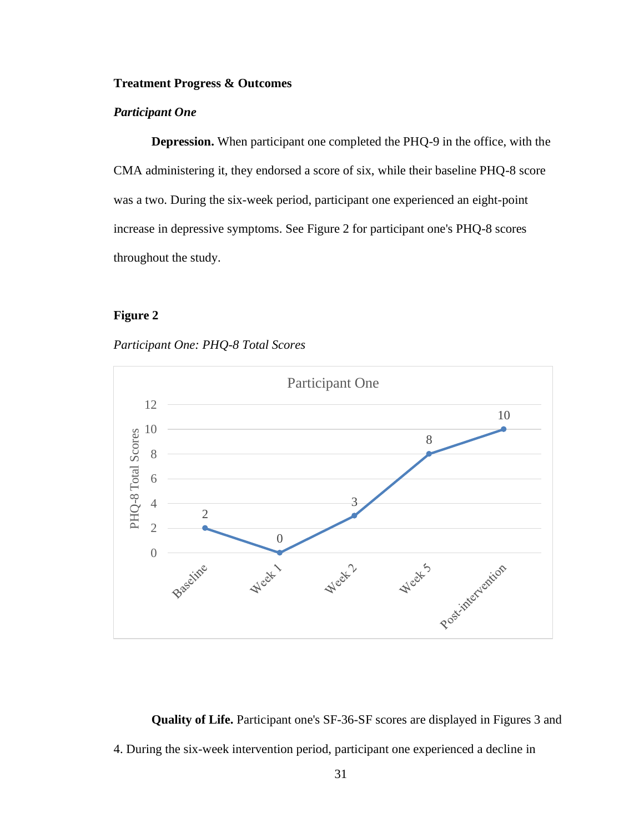## **Treatment Progress & Outcomes**

## *Participant One*

**Depression.** When participant one completed the PHQ-9 in the office, with the CMA administering it, they endorsed a score of six, while their baseline PHQ-8 score was a two. During the six-week period, participant one experienced an eight-point increase in depressive symptoms. See Figure 2 for participant one's PHQ-8 scores throughout the study.

# **Figure 2**

## *Participant One: PHQ-8 Total Scores*



**Quality of Life.** Participant one's SF-36-SF scores are displayed in Figures 3 and 4. During the six-week intervention period, participant one experienced a decline in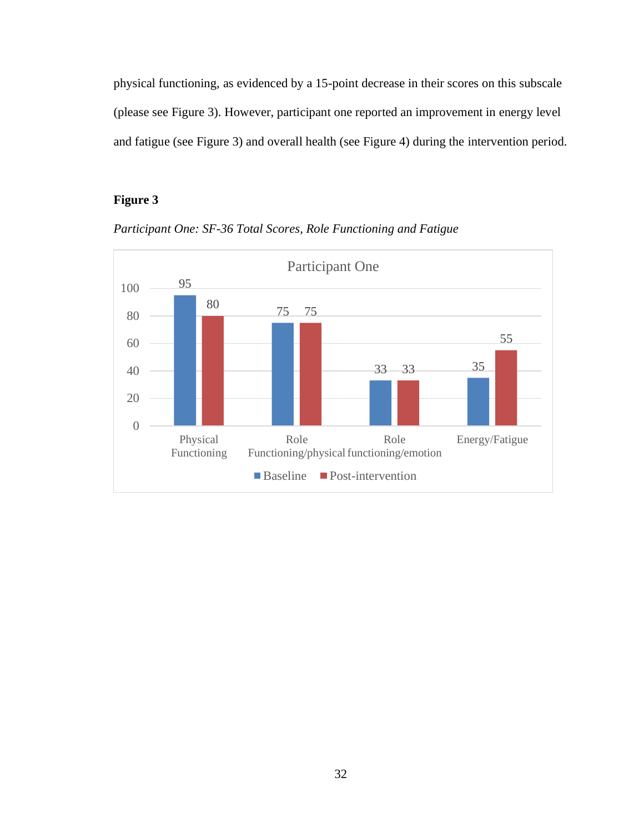physical functioning, as evidenced by a 15-point decrease in their scores on this subscale (please see Figure 3). However, participant one reported an improvement in energy level and fatigue (see Figure 3) and overall health (see Figure 4) during the intervention period.

# **Figure 3**



*Participant One: SF-36 Total Scores, Role Functioning and Fatigue*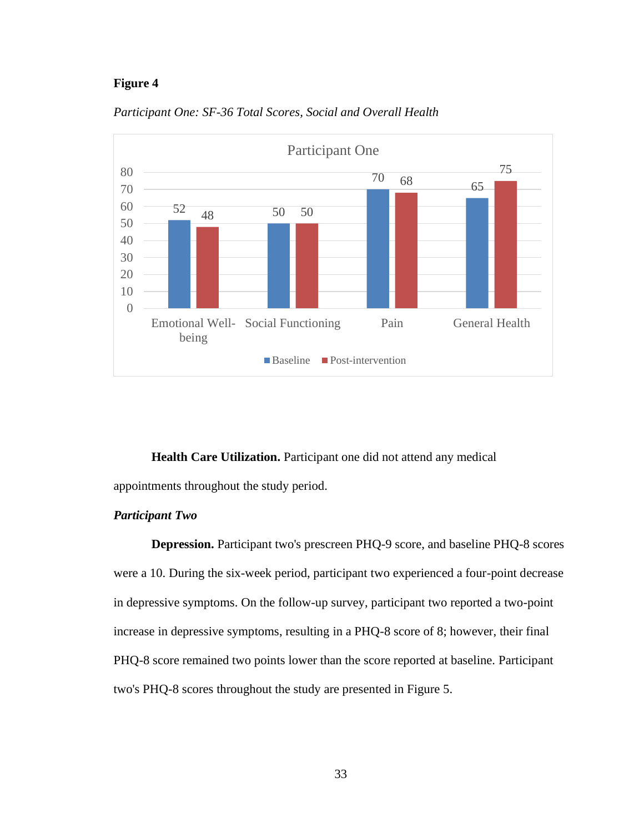## **Figure 4**



*Participant One: SF-36 Total Scores, Social and Overall Health*

**Health Care Utilization.** Participant one did not attend any medical

appointments throughout the study period.

## *Participant Two*

**Depression.** Participant two's prescreen PHQ-9 score, and baseline PHQ-8 scores were a 10. During the six-week period, participant two experienced a four-point decrease in depressive symptoms. On the follow-up survey, participant two reported a two-point increase in depressive symptoms, resulting in a PHQ-8 score of 8; however, their final PHQ-8 score remained two points lower than the score reported at baseline. Participant two's PHQ-8 scores throughout the study are presented in Figure 5.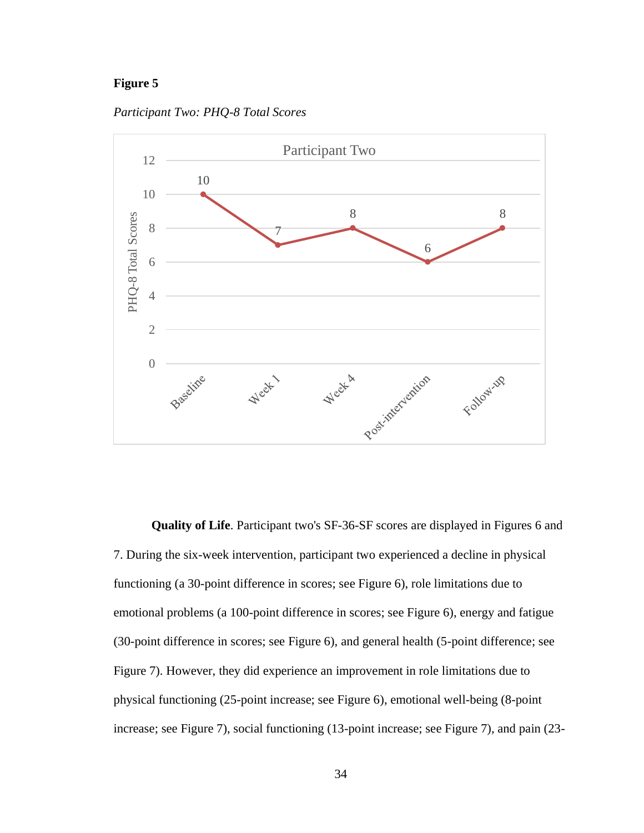## **Figure 5**

*Participant Two: PHQ-8 Total Scores*



**Quality of Life**. Participant two's SF-36-SF scores are displayed in Figures 6 and 7. During the six-week intervention, participant two experienced a decline in physical functioning (a 30-point difference in scores; see Figure 6), role limitations due to emotional problems (a 100-point difference in scores; see Figure 6), energy and fatigue (30-point difference in scores; see Figure 6), and general health (5-point difference; see Figure 7). However, they did experience an improvement in role limitations due to physical functioning (25-point increase; see Figure 6), emotional well-being (8-point increase; see Figure 7), social functioning (13-point increase; see Figure 7), and pain (23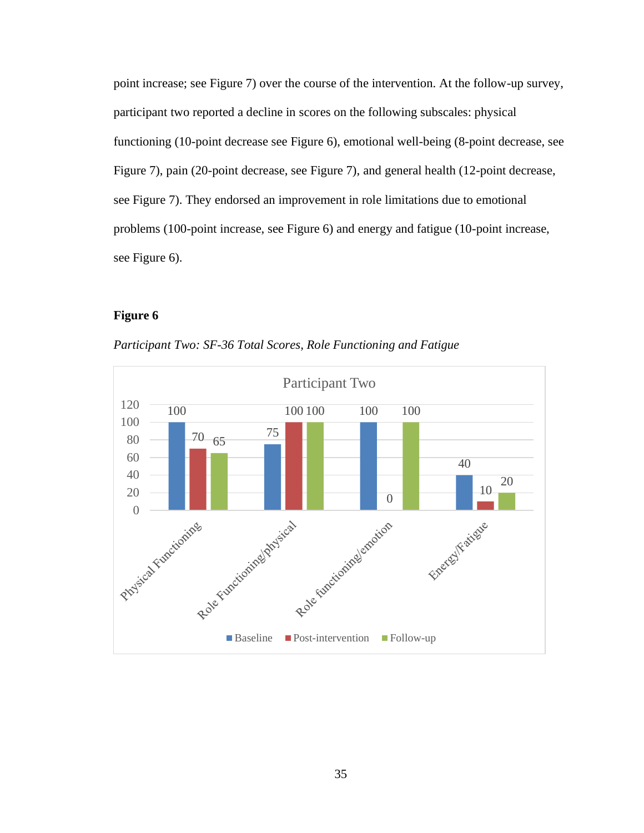point increase; see Figure 7) over the course of the intervention. At the follow-up survey, participant two reported a decline in scores on the following subscales: physical functioning (10-point decrease see Figure 6), emotional well-being (8-point decrease, see Figure 7), pain (20-point decrease, see Figure 7), and general health (12-point decrease, see Figure 7). They endorsed an improvement in role limitations due to emotional problems (100-point increase, see Figure 6) and energy and fatigue (10-point increase, see Figure 6).

# **Figure 6**

*Participant Two: SF-36 Total Scores, Role Functioning and Fatigue*

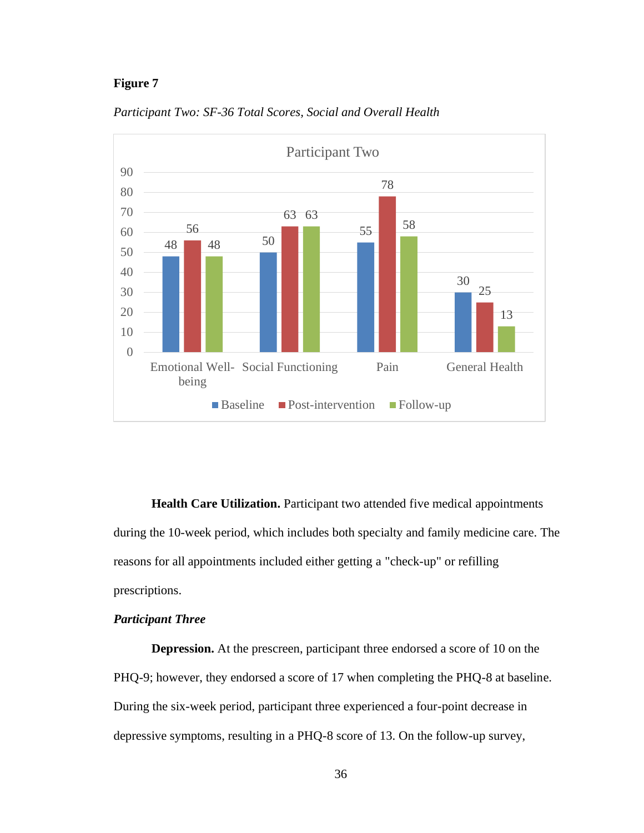## **Figure 7**



*Participant Two: SF-36 Total Scores, Social and Overall Health*

**Health Care Utilization.** Participant two attended five medical appointments during the 10-week period, which includes both specialty and family medicine care. The reasons for all appointments included either getting a "check-up" or refilling prescriptions.

## *Participant Three*

**Depression.** At the prescreen, participant three endorsed a score of 10 on the PHQ-9; however, they endorsed a score of 17 when completing the PHQ-8 at baseline. During the six-week period, participant three experienced a four-point decrease in depressive symptoms, resulting in a PHQ-8 score of 13. On the follow-up survey,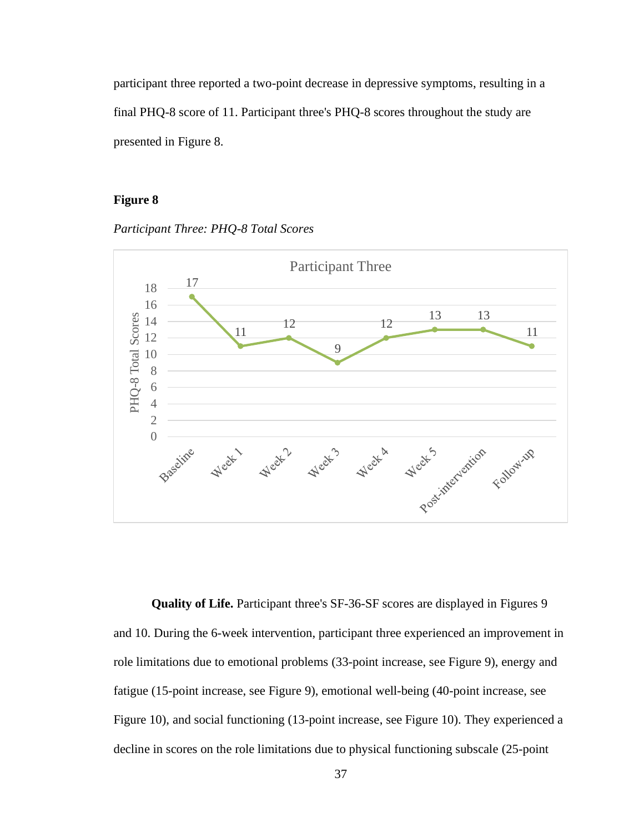participant three reported a two-point decrease in depressive symptoms, resulting in a final PHQ-8 score of 11. Participant three's PHQ-8 scores throughout the study are presented in Figure 8.

## **Figure 8**

*Participant Three: PHQ-8 Total Scores*



**Quality of Life.** Participant three's SF-36-SF scores are displayed in Figures 9 and 10. During the 6-week intervention, participant three experienced an improvement in role limitations due to emotional problems (33-point increase, see Figure 9), energy and fatigue (15-point increase, see Figure 9), emotional well-being (40-point increase, see Figure 10), and social functioning (13-point increase, see Figure 10). They experienced a decline in scores on the role limitations due to physical functioning subscale (25-point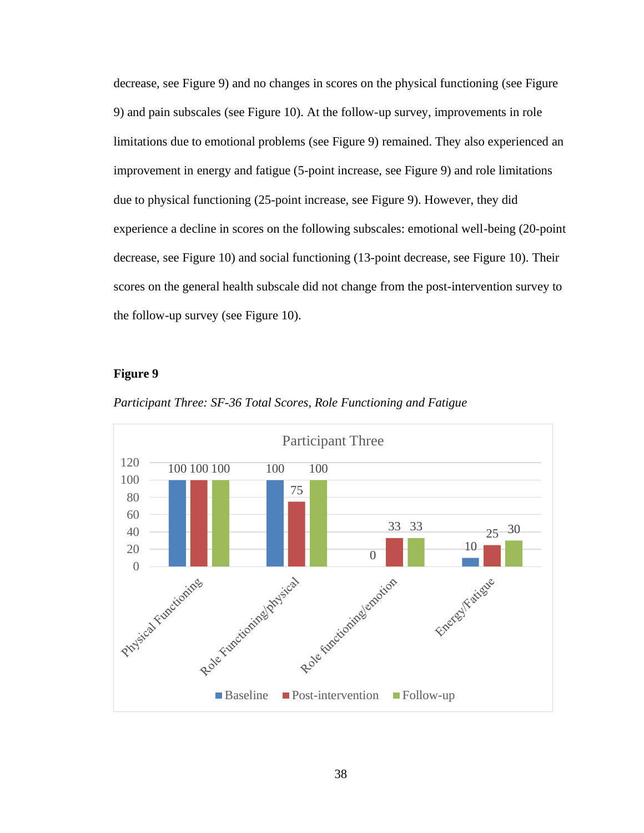decrease, see Figure 9) and no changes in scores on the physical functioning (see Figure 9) and pain subscales (see Figure 10). At the follow-up survey, improvements in role limitations due to emotional problems (see Figure 9) remained. They also experienced an improvement in energy and fatigue (5-point increase, see Figure 9) and role limitations due to physical functioning (25-point increase, see Figure 9). However, they did experience a decline in scores on the following subscales: emotional well-being (20-point decrease, see Figure 10) and social functioning (13-point decrease, see Figure 10). Their scores on the general health subscale did not change from the post-intervention survey to the follow-up survey (see Figure 10).

#### **Figure 9**



*Participant Three: SF-36 Total Scores, Role Functioning and Fatigue*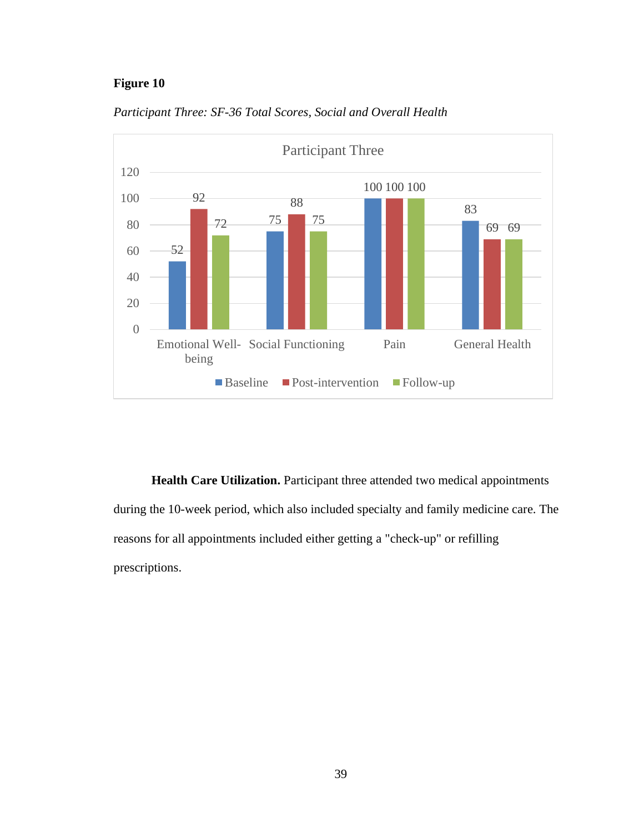# **Figure 10**



*Participant Three: SF-36 Total Scores, Social and Overall Health*

**Health Care Utilization.** Participant three attended two medical appointments during the 10-week period, which also included specialty and family medicine care. The reasons for all appointments included either getting a "check-up" or refilling prescriptions.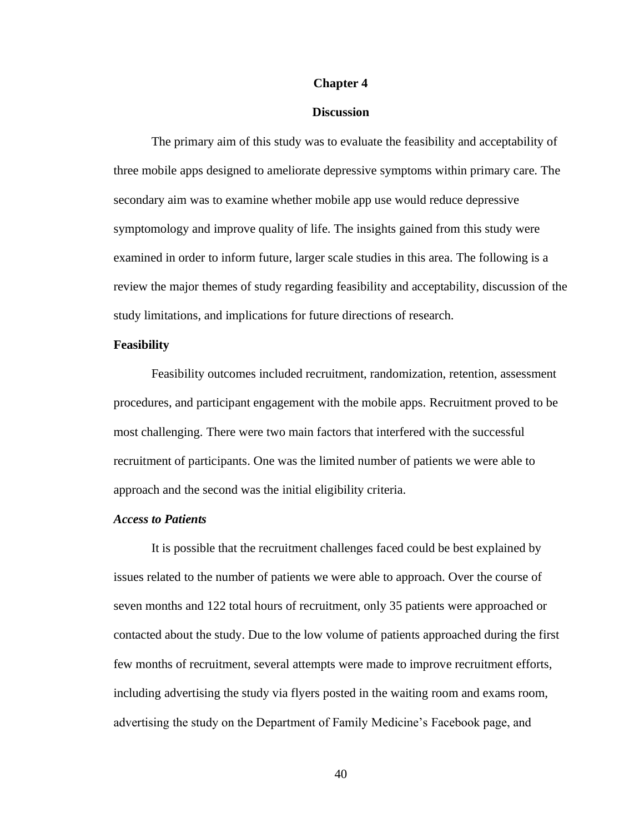### **Chapter 4**

### **Discussion**

The primary aim of this study was to evaluate the feasibility and acceptability of three mobile apps designed to ameliorate depressive symptoms within primary care. The secondary aim was to examine whether mobile app use would reduce depressive symptomology and improve quality of life. The insights gained from this study were examined in order to inform future, larger scale studies in this area. The following is a review the major themes of study regarding feasibility and acceptability, discussion of the study limitations, and implications for future directions of research.

### **Feasibility**

Feasibility outcomes included recruitment, randomization, retention, assessment procedures, and participant engagement with the mobile apps. Recruitment proved to be most challenging. There were two main factors that interfered with the successful recruitment of participants. One was the limited number of patients we were able to approach and the second was the initial eligibility criteria.

## *Access to Patients*

It is possible that the recruitment challenges faced could be best explained by issues related to the number of patients we were able to approach. Over the course of seven months and 122 total hours of recruitment, only 35 patients were approached or contacted about the study. Due to the low volume of patients approached during the first few months of recruitment, several attempts were made to improve recruitment efforts, including advertising the study via flyers posted in the waiting room and exams room, advertising the study on the Department of Family Medicine's Facebook page, and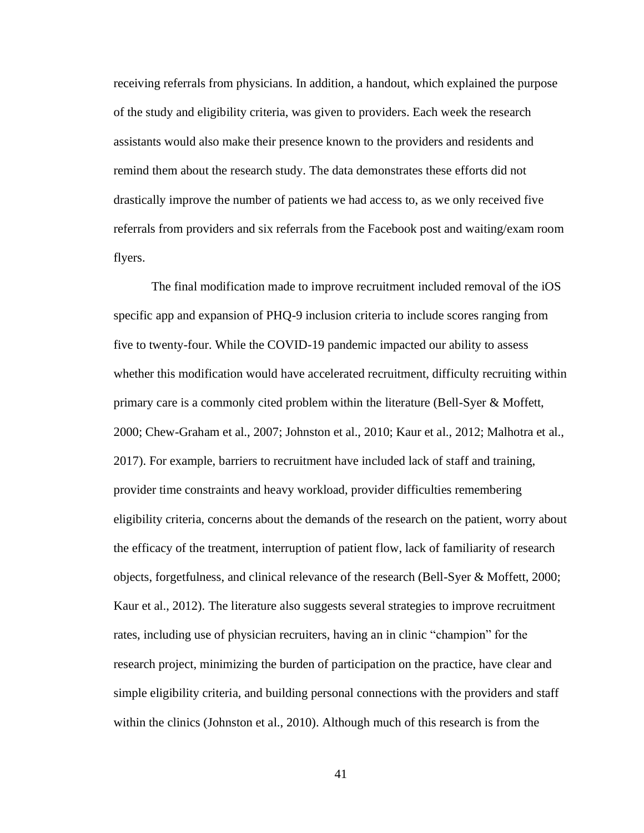receiving referrals from physicians. In addition, a handout, which explained the purpose of the study and eligibility criteria, was given to providers. Each week the research assistants would also make their presence known to the providers and residents and remind them about the research study. The data demonstrates these efforts did not drastically improve the number of patients we had access to, as we only received five referrals from providers and six referrals from the Facebook post and waiting/exam room flyers.

The final modification made to improve recruitment included removal of the iOS specific app and expansion of PHQ-9 inclusion criteria to include scores ranging from five to twenty-four. While the COVID-19 pandemic impacted our ability to assess whether this modification would have accelerated recruitment, difficulty recruiting within primary care is a commonly cited problem within the literature (Bell-Syer & Moffett, 2000; Chew-Graham et al., 2007; Johnston et al., 2010; Kaur et al., 2012; Malhotra et al., 2017). For example, barriers to recruitment have included lack of staff and training, provider time constraints and heavy workload, provider difficulties remembering eligibility criteria, concerns about the demands of the research on the patient, worry about the efficacy of the treatment, interruption of patient flow, lack of familiarity of research objects, forgetfulness, and clinical relevance of the research (Bell-Syer & Moffett, 2000; Kaur et al., 2012). The literature also suggests several strategies to improve recruitment rates, including use of physician recruiters, having an in clinic "champion" for the research project, minimizing the burden of participation on the practice, have clear and simple eligibility criteria, and building personal connections with the providers and staff within the clinics (Johnston et al., 2010). Although much of this research is from the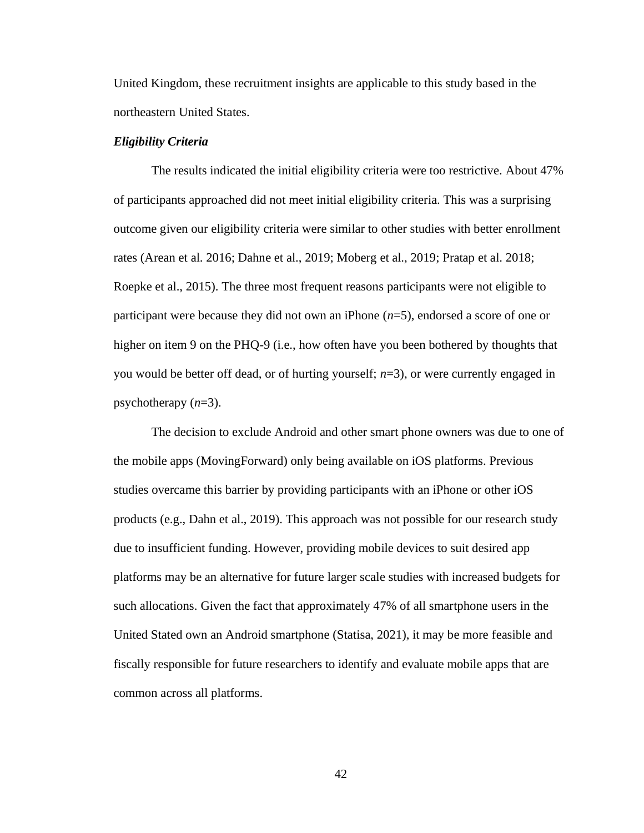United Kingdom, these recruitment insights are applicable to this study based in the northeastern United States.

### *Eligibility Criteria*

The results indicated the initial eligibility criteria were too restrictive. About 47% of participants approached did not meet initial eligibility criteria. This was a surprising outcome given our eligibility criteria were similar to other studies with better enrollment rates (Arean et al. 2016; Dahne et al., 2019; Moberg et al., 2019; Pratap et al. 2018; Roepke et al., 2015). The three most frequent reasons participants were not eligible to participant were because they did not own an iPhone (*n*=5), endorsed a score of one or higher on item 9 on the PHQ-9 (i.e., how often have you been bothered by thoughts that you would be better off dead, or of hurting yourself; *n*=3), or were currently engaged in psychotherapy (*n*=3).

The decision to exclude Android and other smart phone owners was due to one of the mobile apps (MovingForward) only being available on iOS platforms. Previous studies overcame this barrier by providing participants with an iPhone or other iOS products (e.g., Dahn et al., 2019). This approach was not possible for our research study due to insufficient funding. However, providing mobile devices to suit desired app platforms may be an alternative for future larger scale studies with increased budgets for such allocations. Given the fact that approximately 47% of all smartphone users in the United Stated own an Android smartphone (Statisa, 2021), it may be more feasible and fiscally responsible for future researchers to identify and evaluate mobile apps that are common across all platforms.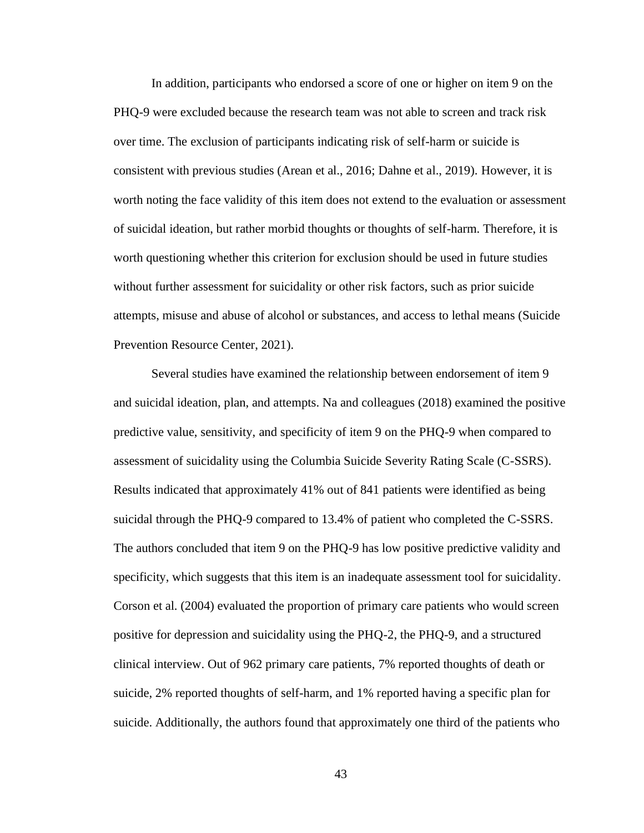In addition, participants who endorsed a score of one or higher on item 9 on the PHQ-9 were excluded because the research team was not able to screen and track risk over time. The exclusion of participants indicating risk of self-harm or suicide is consistent with previous studies (Arean et al., 2016; Dahne et al., 2019). However, it is worth noting the face validity of this item does not extend to the evaluation or assessment of suicidal ideation, but rather morbid thoughts or thoughts of self-harm. Therefore, it is worth questioning whether this criterion for exclusion should be used in future studies without further assessment for suicidality or other risk factors, such as prior suicide attempts, misuse and abuse of alcohol or substances, and access to lethal means (Suicide Prevention Resource Center, 2021).

Several studies have examined the relationship between endorsement of item 9 and suicidal ideation, plan, and attempts. Na and colleagues (2018) examined the positive predictive value, sensitivity, and specificity of item 9 on the PHQ-9 when compared to assessment of suicidality using the Columbia Suicide Severity Rating Scale (C-SSRS). Results indicated that approximately 41% out of 841 patients were identified as being suicidal through the PHQ-9 compared to 13.4% of patient who completed the C-SSRS. The authors concluded that item 9 on the PHQ-9 has low positive predictive validity and specificity, which suggests that this item is an inadequate assessment tool for suicidality. Corson et al. (2004) evaluated the proportion of primary care patients who would screen positive for depression and suicidality using the PHQ-2, the PHQ-9, and a structured clinical interview. Out of 962 primary care patients, 7% reported thoughts of death or suicide, 2% reported thoughts of self-harm, and 1% reported having a specific plan for suicide. Additionally, the authors found that approximately one third of the patients who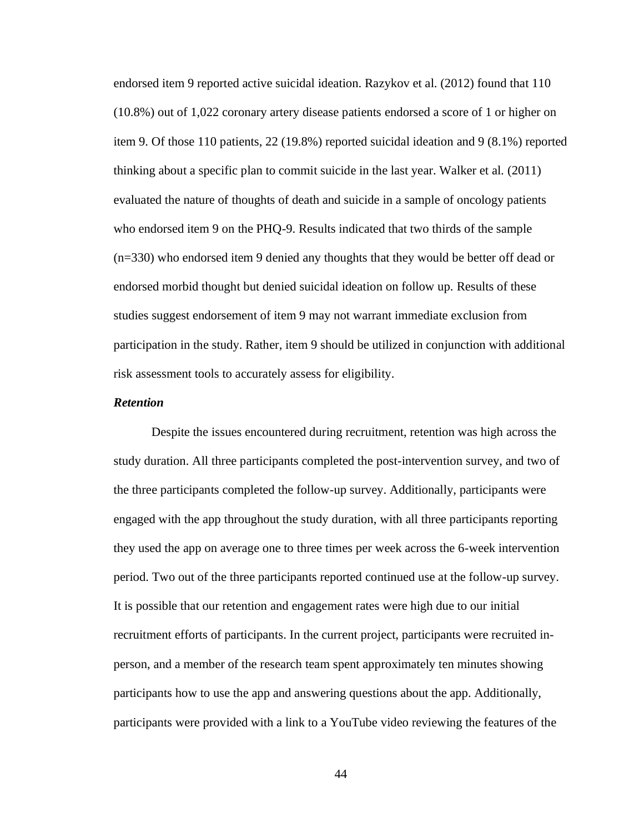endorsed item 9 reported active suicidal ideation. Razykov et al. (2012) found that 110 (10.8%) out of 1,022 coronary artery disease patients endorsed a score of 1 or higher on item 9. Of those 110 patients, 22 (19.8%) reported suicidal ideation and 9 (8.1%) reported thinking about a specific plan to commit suicide in the last year. Walker et al. (2011) evaluated the nature of thoughts of death and suicide in a sample of oncology patients who endorsed item 9 on the PHQ-9. Results indicated that two thirds of the sample (n=330) who endorsed item 9 denied any thoughts that they would be better off dead or endorsed morbid thought but denied suicidal ideation on follow up. Results of these studies suggest endorsement of item 9 may not warrant immediate exclusion from participation in the study. Rather, item 9 should be utilized in conjunction with additional risk assessment tools to accurately assess for eligibility.

### *Retention*

Despite the issues encountered during recruitment, retention was high across the study duration. All three participants completed the post-intervention survey, and two of the three participants completed the follow-up survey. Additionally, participants were engaged with the app throughout the study duration, with all three participants reporting they used the app on average one to three times per week across the 6-week intervention period. Two out of the three participants reported continued use at the follow-up survey. It is possible that our retention and engagement rates were high due to our initial recruitment efforts of participants. In the current project, participants were recruited inperson, and a member of the research team spent approximately ten minutes showing participants how to use the app and answering questions about the app. Additionally, participants were provided with a link to a YouTube video reviewing the features of the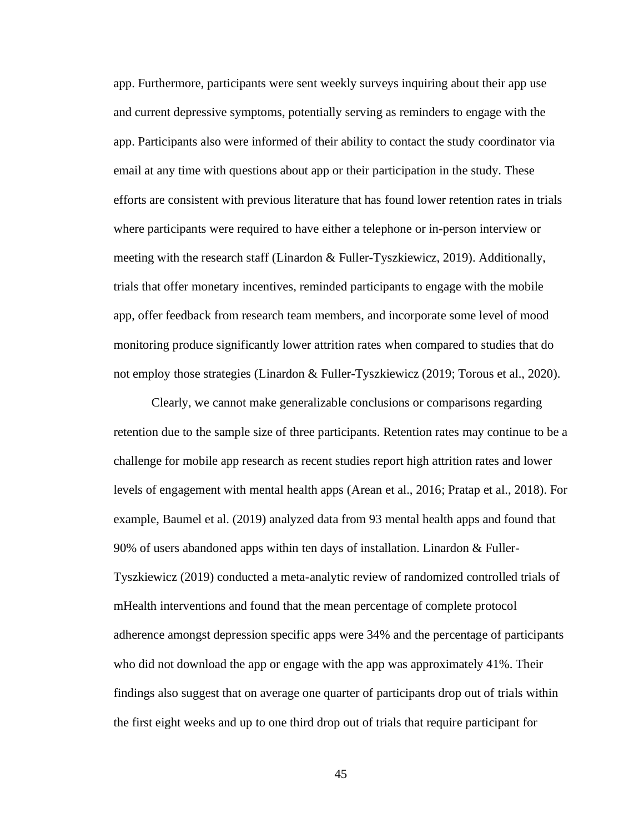app. Furthermore, participants were sent weekly surveys inquiring about their app use and current depressive symptoms, potentially serving as reminders to engage with the app. Participants also were informed of their ability to contact the study coordinator via email at any time with questions about app or their participation in the study. These efforts are consistent with previous literature that has found lower retention rates in trials where participants were required to have either a telephone or in-person interview or meeting with the research staff (Linardon & Fuller-Tyszkiewicz, 2019). Additionally, trials that offer monetary incentives, reminded participants to engage with the mobile app, offer feedback from research team members, and incorporate some level of mood monitoring produce significantly lower attrition rates when compared to studies that do not employ those strategies (Linardon & Fuller-Tyszkiewicz (2019; Torous et al., 2020).

Clearly, we cannot make generalizable conclusions or comparisons regarding retention due to the sample size of three participants. Retention rates may continue to be a challenge for mobile app research as recent studies report high attrition rates and lower levels of engagement with mental health apps (Arean et al., 2016; Pratap et al., 2018). For example, Baumel et al. (2019) analyzed data from 93 mental health apps and found that 90% of users abandoned apps within ten days of installation. Linardon & Fuller-Tyszkiewicz (2019) conducted a meta-analytic review of randomized controlled trials of mHealth interventions and found that the mean percentage of complete protocol adherence amongst depression specific apps were 34% and the percentage of participants who did not download the app or engage with the app was approximately 41%. Their findings also suggest that on average one quarter of participants drop out of trials within the first eight weeks and up to one third drop out of trials that require participant for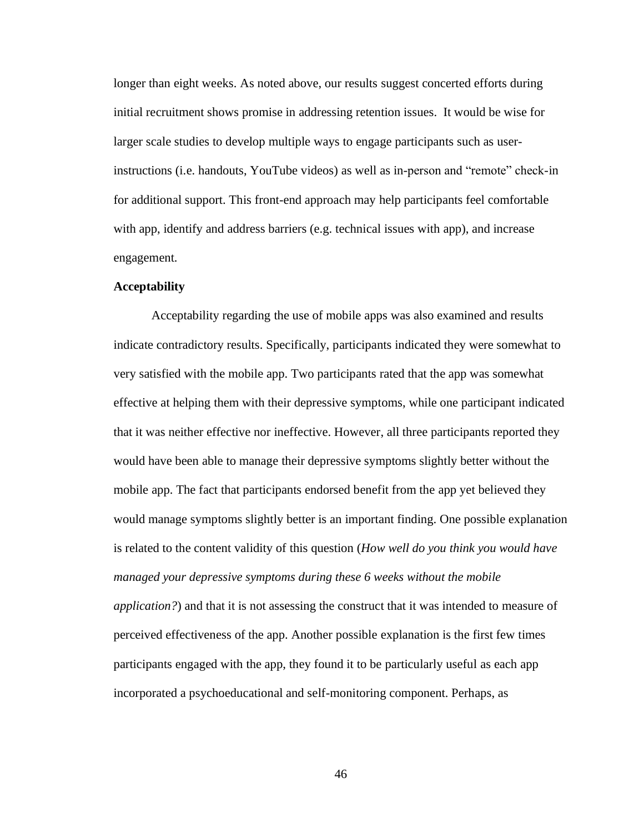longer than eight weeks. As noted above, our results suggest concerted efforts during initial recruitment shows promise in addressing retention issues. It would be wise for larger scale studies to develop multiple ways to engage participants such as userinstructions (i.e. handouts, YouTube videos) as well as in-person and "remote" check-in for additional support. This front-end approach may help participants feel comfortable with app, identify and address barriers (e.g. technical issues with app), and increase engagement.

## **Acceptability**

Acceptability regarding the use of mobile apps was also examined and results indicate contradictory results. Specifically, participants indicated they were somewhat to very satisfied with the mobile app. Two participants rated that the app was somewhat effective at helping them with their depressive symptoms, while one participant indicated that it was neither effective nor ineffective. However, all three participants reported they would have been able to manage their depressive symptoms slightly better without the mobile app. The fact that participants endorsed benefit from the app yet believed they would manage symptoms slightly better is an important finding. One possible explanation is related to the content validity of this question (*How well do you think you would have managed your depressive symptoms during these 6 weeks without the mobile application?*) and that it is not assessing the construct that it was intended to measure of perceived effectiveness of the app. Another possible explanation is the first few times participants engaged with the app, they found it to be particularly useful as each app incorporated a psychoeducational and self-monitoring component. Perhaps, as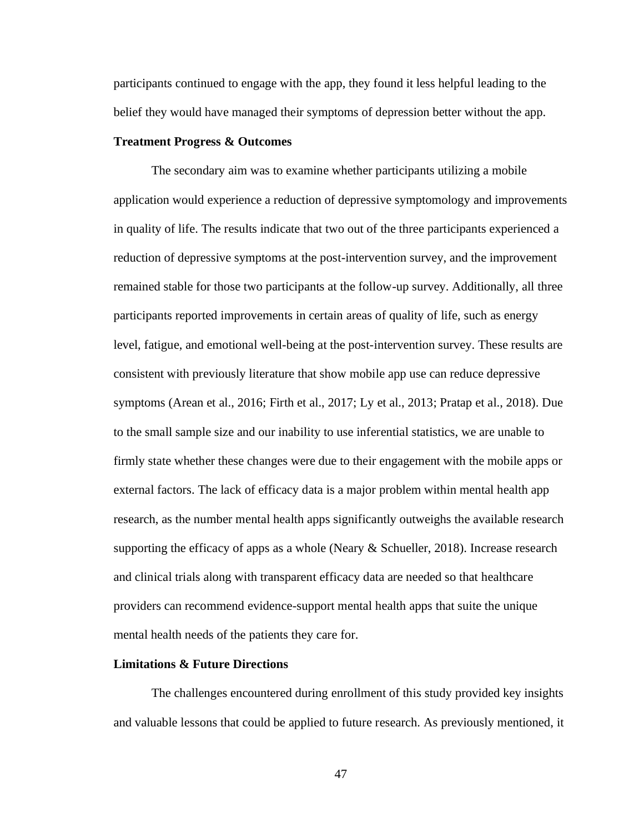participants continued to engage with the app, they found it less helpful leading to the belief they would have managed their symptoms of depression better without the app.

## **Treatment Progress & Outcomes**

The secondary aim was to examine whether participants utilizing a mobile application would experience a reduction of depressive symptomology and improvements in quality of life. The results indicate that two out of the three participants experienced a reduction of depressive symptoms at the post-intervention survey, and the improvement remained stable for those two participants at the follow-up survey. Additionally, all three participants reported improvements in certain areas of quality of life, such as energy level, fatigue, and emotional well-being at the post-intervention survey. These results are consistent with previously literature that show mobile app use can reduce depressive symptoms (Arean et al., 2016; Firth et al., 2017; Ly et al., 2013; Pratap et al., 2018). Due to the small sample size and our inability to use inferential statistics, we are unable to firmly state whether these changes were due to their engagement with the mobile apps or external factors. The lack of efficacy data is a major problem within mental health app research, as the number mental health apps significantly outweighs the available research supporting the efficacy of apps as a whole (Neary  $\&$  Schueller, 2018). Increase research and clinical trials along with transparent efficacy data are needed so that healthcare providers can recommend evidence-support mental health apps that suite the unique mental health needs of the patients they care for.

### **Limitations & Future Directions**

The challenges encountered during enrollment of this study provided key insights and valuable lessons that could be applied to future research. As previously mentioned, it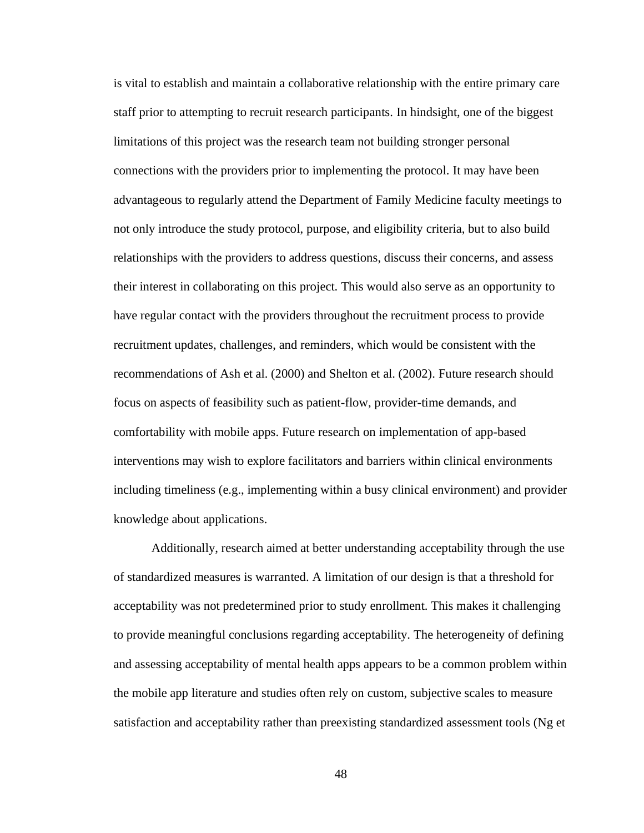is vital to establish and maintain a collaborative relationship with the entire primary care staff prior to attempting to recruit research participants. In hindsight, one of the biggest limitations of this project was the research team not building stronger personal connections with the providers prior to implementing the protocol. It may have been advantageous to regularly attend the Department of Family Medicine faculty meetings to not only introduce the study protocol, purpose, and eligibility criteria, but to also build relationships with the providers to address questions, discuss their concerns, and assess their interest in collaborating on this project. This would also serve as an opportunity to have regular contact with the providers throughout the recruitment process to provide recruitment updates, challenges, and reminders, which would be consistent with the recommendations of Ash et al. (2000) and Shelton et al. (2002). Future research should focus on aspects of feasibility such as patient-flow, provider-time demands, and comfortability with mobile apps. Future research on implementation of app-based interventions may wish to explore facilitators and barriers within clinical environments including timeliness (e.g., implementing within a busy clinical environment) and provider knowledge about applications.

Additionally, research aimed at better understanding acceptability through the use of standardized measures is warranted. A limitation of our design is that a threshold for acceptability was not predetermined prior to study enrollment. This makes it challenging to provide meaningful conclusions regarding acceptability. The heterogeneity of defining and assessing acceptability of mental health apps appears to be a common problem within the mobile app literature and studies often rely on custom, subjective scales to measure satisfaction and acceptability rather than preexisting standardized assessment tools (Ng et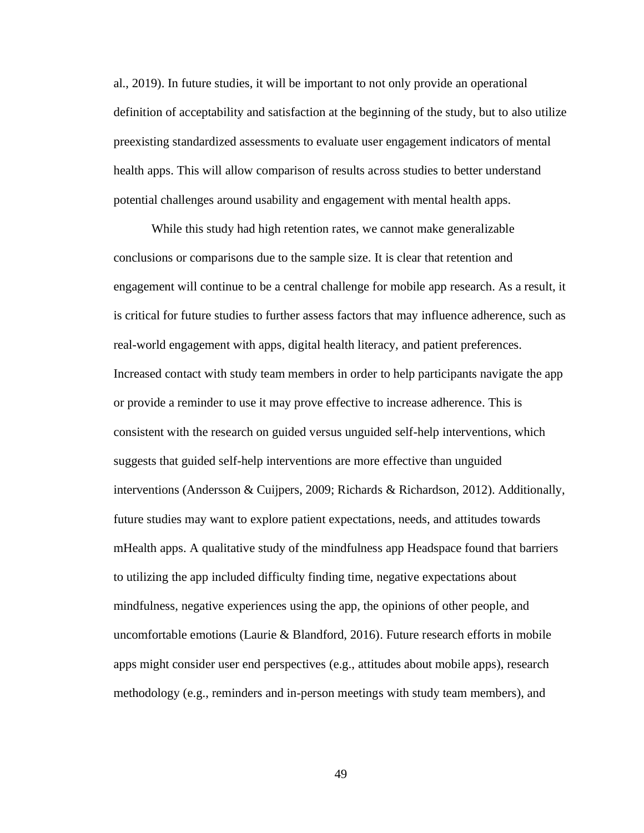al., 2019). In future studies, it will be important to not only provide an operational definition of acceptability and satisfaction at the beginning of the study, but to also utilize preexisting standardized assessments to evaluate user engagement indicators of mental health apps. This will allow comparison of results across studies to better understand potential challenges around usability and engagement with mental health apps.

While this study had high retention rates, we cannot make generalizable conclusions or comparisons due to the sample size. It is clear that retention and engagement will continue to be a central challenge for mobile app research. As a result, it is critical for future studies to further assess factors that may influence adherence, such as real-world engagement with apps, digital health literacy, and patient preferences. Increased contact with study team members in order to help participants navigate the app or provide a reminder to use it may prove effective to increase adherence. This is consistent with the research on guided versus unguided self-help interventions, which suggests that guided self-help interventions are more effective than unguided interventions (Andersson & Cuijpers, 2009; Richards & Richardson, 2012). Additionally, future studies may want to explore patient expectations, needs, and attitudes towards mHealth apps. A qualitative study of the mindfulness app Headspace found that barriers to utilizing the app included difficulty finding time, negative expectations about mindfulness, negative experiences using the app, the opinions of other people, and uncomfortable emotions (Laurie & Blandford, 2016). Future research efforts in mobile apps might consider user end perspectives (e.g., attitudes about mobile apps), research methodology (e.g., reminders and in-person meetings with study team members), and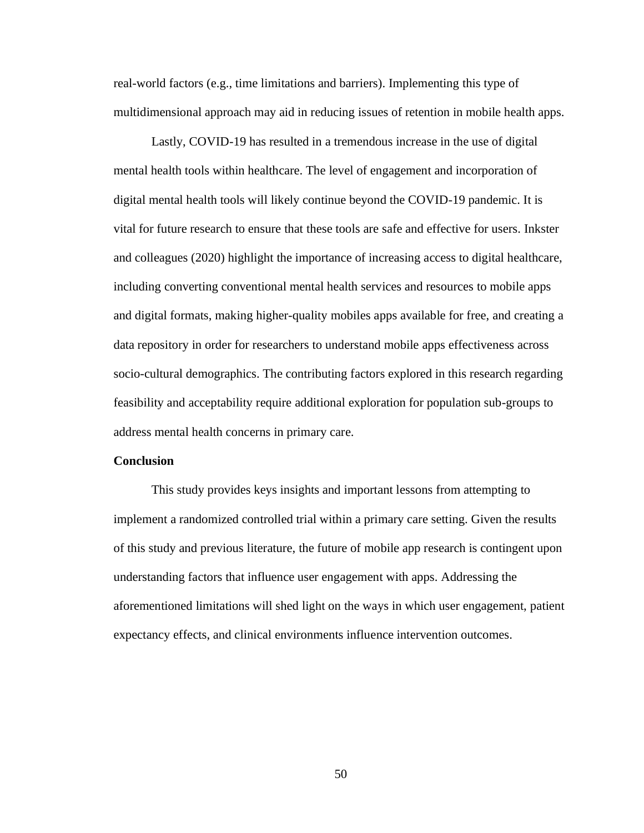real-world factors (e.g., time limitations and barriers). Implementing this type of multidimensional approach may aid in reducing issues of retention in mobile health apps.

Lastly, COVID-19 has resulted in a tremendous increase in the use of digital mental health tools within healthcare. The level of engagement and incorporation of digital mental health tools will likely continue beyond the COVID-19 pandemic. It is vital for future research to ensure that these tools are safe and effective for users. Inkster and colleagues (2020) highlight the importance of increasing access to digital healthcare, including converting conventional mental health services and resources to mobile apps and digital formats, making higher-quality mobiles apps available for free, and creating a data repository in order for researchers to understand mobile apps effectiveness across socio-cultural demographics. The contributing factors explored in this research regarding feasibility and acceptability require additional exploration for population sub-groups to address mental health concerns in primary care.

## **Conclusion**

This study provides keys insights and important lessons from attempting to implement a randomized controlled trial within a primary care setting. Given the results of this study and previous literature, the future of mobile app research is contingent upon understanding factors that influence user engagement with apps. Addressing the aforementioned limitations will shed light on the ways in which user engagement, patient expectancy effects, and clinical environments influence intervention outcomes.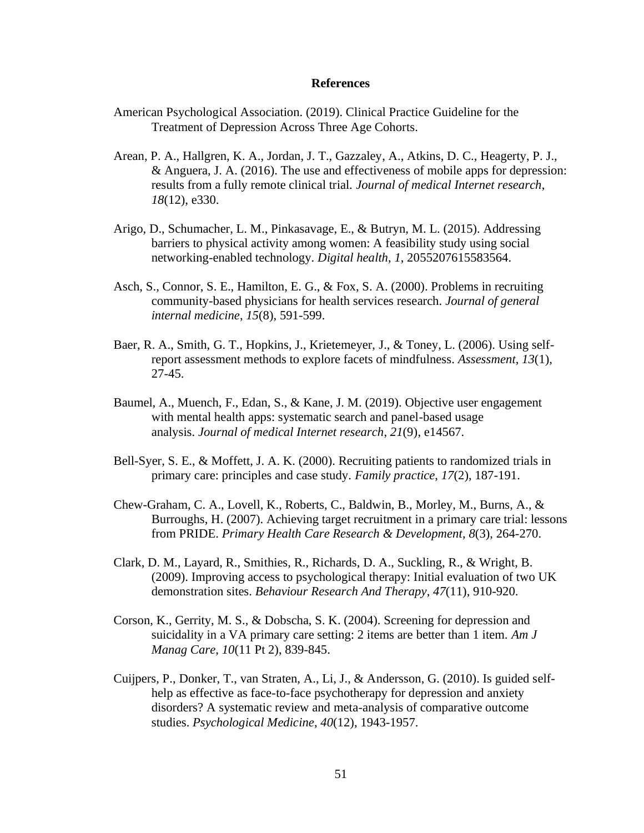#### **References**

- American Psychological Association. (2019). Clinical Practice Guideline for the Treatment of Depression Across Three Age Cohorts.
- Arean, P. A., Hallgren, K. A., Jordan, J. T., Gazzaley, A., Atkins, D. C., Heagerty, P. J., & Anguera, J. A. (2016). The use and effectiveness of mobile apps for depression: results from a fully remote clinical trial. *Journal of medical Internet research*, *18*(12), e330.
- Arigo, D., Schumacher, L. M., Pinkasavage, E., & Butryn, M. L. (2015). Addressing barriers to physical activity among women: A feasibility study using social networking-enabled technology. *Digital health*, *1*, 2055207615583564.
- Asch, S., Connor, S. E., Hamilton, E. G., & Fox, S. A. (2000). Problems in recruiting community-based physicians for health services research. *Journal of general internal medicine*, *15*(8), 591-599.
- Baer, R. A., Smith, G. T., Hopkins, J., Krietemeyer, J., & Toney, L. (2006). Using selfreport assessment methods to explore facets of mindfulness. *Assessment*, *13*(1), 27-45.
- Baumel, A., Muench, F., Edan, S., & Kane, J. M. (2019). Objective user engagement with mental health apps: systematic search and panel-based usage analysis. *Journal of medical Internet research*, *21*(9), e14567.
- Bell-Syer, S. E., & Moffett, J. A. K. (2000). Recruiting patients to randomized trials in primary care: principles and case study. *Family practice*, *17*(2), 187-191.
- Chew-Graham, C. A., Lovell, K., Roberts, C., Baldwin, B., Morley, M., Burns, A., & Burroughs, H. (2007). Achieving target recruitment in a primary care trial: lessons from PRIDE. *Primary Health Care Research & Development*, *8*(3), 264-270.
- Clark, D. M., Layard, R., Smithies, R., Richards, D. A., Suckling, R., & Wright, B. (2009). Improving access to psychological therapy: Initial evaluation of two UK demonstration sites. *Behaviour Research And Therapy*, *47*(11), 910-920.
- Corson, K., Gerrity, M. S., & Dobscha, S. K. (2004). Screening for depression and suicidality in a VA primary care setting: 2 items are better than 1 item. *Am J Manag Care*, *10*(11 Pt 2), 839-845.
- Cuijpers, P., Donker, T., van Straten, A., Li, J., & Andersson, G. (2010). Is guided selfhelp as effective as face-to-face psychotherapy for depression and anxiety disorders? A systematic review and meta-analysis of comparative outcome studies. *Psychological Medicine*, *40*(12), 1943-1957.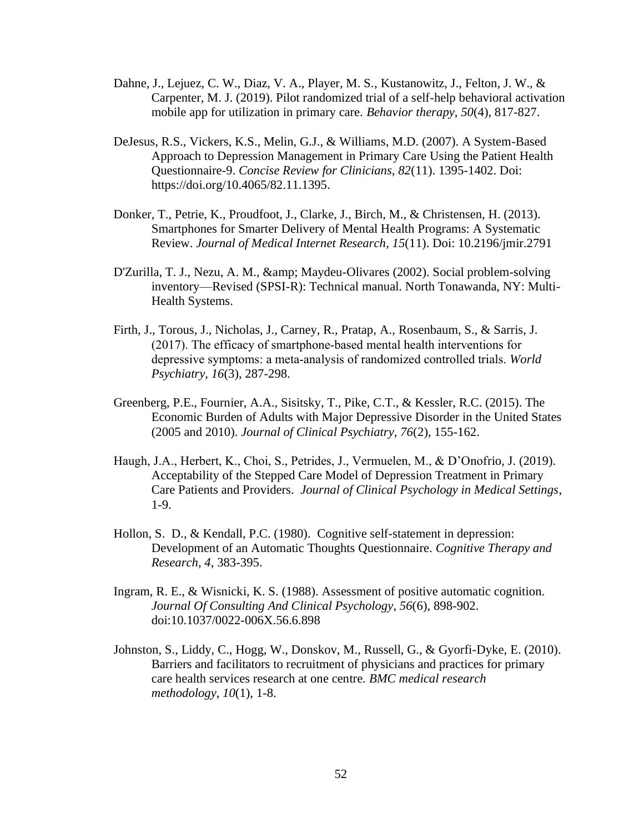- Dahne, J., Lejuez, C. W., Diaz, V. A., Player, M. S., Kustanowitz, J., Felton, J. W., & Carpenter, M. J. (2019). Pilot randomized trial of a self-help behavioral activation mobile app for utilization in primary care. *Behavior therapy*, *50*(4), 817-827.
- DeJesus, R.S., Vickers, K.S., Melin, G.J., & Williams, M.D. (2007). A System-Based Approach to Depression Management in Primary Care Using the Patient Health Questionnaire-9. *Concise Review for Clinicians, 82*(11). 1395-1402. Doi: https://doi.org/10.4065/82.11.1395.
- Donker, T., Petrie, K., Proudfoot, J., Clarke, J., Birch, M., & Christensen, H. (2013). Smartphones for Smarter Delivery of Mental Health Programs: A Systematic Review. *Journal of Medical Internet Research*, *15*(11). Doi: 10.2196/jmir.2791
- D'Zurilla, T. J., Nezu, A. M., & amp; Maydeu-Olivares (2002). Social problem-solving inventory—Revised (SPSI-R): Technical manual. North Tonawanda, NY: Multi-Health Systems.
- Firth, J., Torous, J., Nicholas, J., Carney, R., Pratap, A., Rosenbaum, S., & Sarris, J. (2017). The efficacy of smartphone‐based mental health interventions for depressive symptoms: a meta‐analysis of randomized controlled trials. *World Psychiatry*, *16*(3), 287-298.
- Greenberg, P.E., Fournier, A.A., Sisitsky, T., Pike, C.T., & Kessler, R.C. (2015). The Economic Burden of Adults with Major Depressive Disorder in the United States (2005 and 2010). *Journal of Clinical Psychiatry, 76*(2), 155-162.
- Haugh, J.A., Herbert, K., Choi, S., Petrides, J., Vermuelen, M., & D'Onofrio, J. (2019). Acceptability of the Stepped Care Model of Depression Treatment in Primary Care Patients and Providers. *Journal of Clinical Psychology in Medical Settings*, 1-9.
- Hollon, S. D., & Kendall, P.C. (1980). Cognitive self-statement in depression: Development of an Automatic Thoughts Questionnaire. *Cognitive Therapy and Research, 4*, 383-395.
- Ingram, R. E., & Wisnicki, K. S. (1988). Assessment of positive automatic cognition. *Journal Of Consulting And Clinical Psychology*, *56*(6), 898-902. doi:10.1037/0022-006X.56.6.898
- Johnston, S., Liddy, C., Hogg, W., Donskov, M., Russell, G., & Gyorfi-Dyke, E. (2010). Barriers and facilitators to recruitment of physicians and practices for primary care health services research at one centre. *BMC medical research methodology*, *10*(1), 1-8.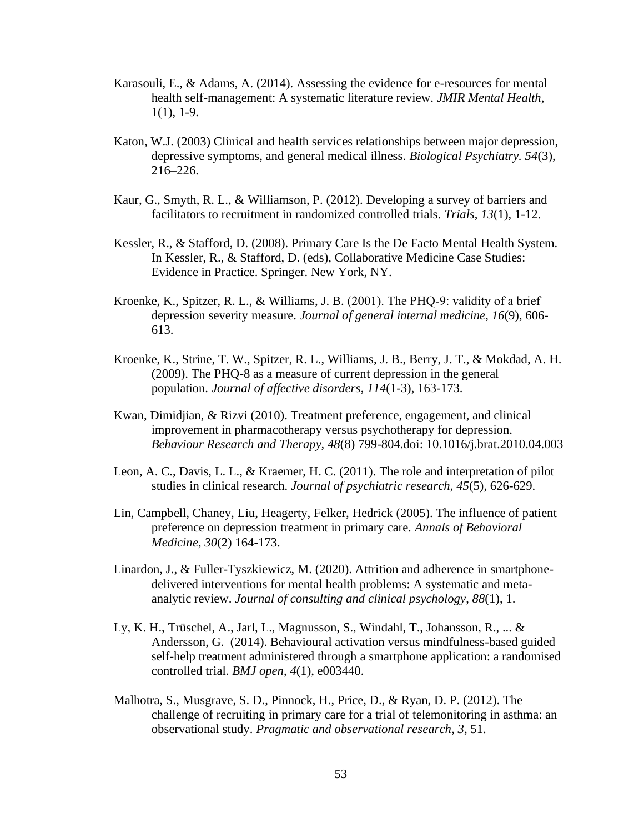- Karasouli, E., & Adams, A. (2014). Assessing the evidence for e-resources for mental health self-management: A systematic literature review. *JMIR Mental Health*,  $1(1)$ , 1-9.
- Katon, W.J. (2003) Clinical and health services relationships between major depression, depressive symptoms, and general medical illness. *Biological Psychiatry. 54*(3), 216–226.
- Kaur, G., Smyth, R. L., & Williamson, P. (2012). Developing a survey of barriers and facilitators to recruitment in randomized controlled trials. *Trials*, *13*(1), 1-12.
- Kessler, R., & Stafford, D. (2008). Primary Care Is the De Facto Mental Health System. In Kessler, R., & Stafford, D. (eds), Collaborative Medicine Case Studies: Evidence in Practice. Springer. New York, NY.
- Kroenke, K., Spitzer, R. L., & Williams, J. B. (2001). The PHQ-9: validity of a brief depression severity measure. *Journal of general internal medicine*, *16*(9), 606- 613.
- Kroenke, K., Strine, T. W., Spitzer, R. L., Williams, J. B., Berry, J. T., & Mokdad, A. H. (2009). The PHQ-8 as a measure of current depression in the general population. *Journal of affective disorders*, *114*(1-3), 163-173.
- Kwan, Dimidjian, & Rizvi (2010). Treatment preference, engagement, and clinical improvement in pharmacotherapy versus psychotherapy for depression. *Behaviour Research and Therapy, 48*(8) 799-804.doi: 10.1016/j.brat.2010.04.003
- Leon, A. C., Davis, L. L., & Kraemer, H. C. (2011). The role and interpretation of pilot studies in clinical research. *Journal of psychiatric research*, *45*(5), 626-629.
- Lin, Campbell, Chaney, Liu, Heagerty, Felker, Hedrick (2005). The influence of patient preference on depression treatment in primary care. *Annals of Behavioral Medicine, 30*(2) 164-173.
- Linardon, J., & Fuller-Tyszkiewicz, M. (2020). Attrition and adherence in smartphonedelivered interventions for mental health problems: A systematic and metaanalytic review. *Journal of consulting and clinical psychology*, *88*(1), 1.
- Ly, K. H., Trüschel, A., Jarl, L., Magnusson, S., Windahl, T., Johansson, R., ... & Andersson, G. (2014). Behavioural activation versus mindfulness-based guided self-help treatment administered through a smartphone application: a randomised controlled trial. *BMJ open*, *4*(1), e003440.
- Malhotra, S., Musgrave, S. D., Pinnock, H., Price, D., & Ryan, D. P. (2012). The challenge of recruiting in primary care for a trial of telemonitoring in asthma: an observational study. *Pragmatic and observational research*, *3*, 51.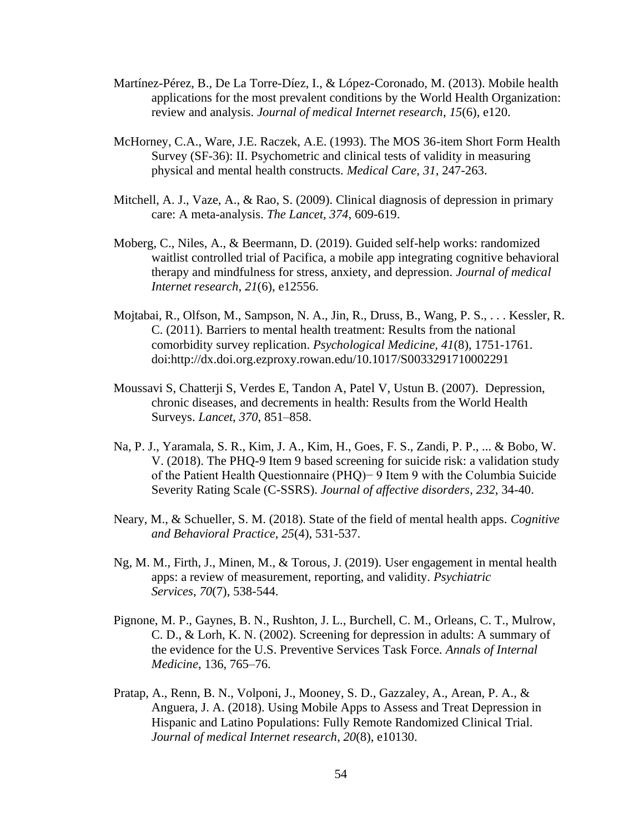- Martínez-Pérez, B., De La Torre-Díez, I., & López-Coronado, M. (2013). Mobile health applications for the most prevalent conditions by the World Health Organization: review and analysis. *Journal of medical Internet research*, *15*(6), e120.
- McHorney, C.A., Ware, J.E. Raczek, A.E. (1993). The MOS 36-item Short Form Health Survey (SF-36): II. Psychometric and clinical tests of validity in measuring physical and mental health constructs. *Medical Care*, *31*, 247-263.
- Mitchell, A. J., Vaze, A., & Rao, S. (2009). Clinical diagnosis of depression in primary care: A meta-analysis. *The Lancet, 374*, 609-619.
- Moberg, C., Niles, A., & Beermann, D. (2019). Guided self-help works: randomized waitlist controlled trial of Pacifica, a mobile app integrating cognitive behavioral therapy and mindfulness for stress, anxiety, and depression. *Journal of medical Internet research*, *21*(6), e12556.
- Mojtabai, R., Olfson, M., Sampson, N. A., Jin, R., Druss, B., Wang, P. S., . . . Kessler, R. C. (2011). Barriers to mental health treatment: Results from the national comorbidity survey replication. *Psychological Medicine, 41*(8), 1751-1761. doi:http://dx.doi.org.ezproxy.rowan.edu/10.1017/S0033291710002291
- Moussavi S, Chatterji S, Verdes E, Tandon A, Patel V, Ustun B. (2007). Depression, chronic diseases, and decrements in health: Results from the World Health Surveys. *Lancet*, *370*, 851–858.
- Na, P. J., Yaramala, S. R., Kim, J. A., Kim, H., Goes, F. S., Zandi, P. P., ... & Bobo, W. V. (2018). The PHQ-9 Item 9 based screening for suicide risk: a validation study of the Patient Health Questionnaire (PHQ)− 9 Item 9 with the Columbia Suicide Severity Rating Scale (C-SSRS). *Journal of affective disorders*, *232*, 34-40.
- Neary, M., & Schueller, S. M. (2018). State of the field of mental health apps. *Cognitive and Behavioral Practice*, *25*(4), 531-537.
- Ng, M. M., Firth, J., Minen, M., & Torous, J. (2019). User engagement in mental health apps: a review of measurement, reporting, and validity. *Psychiatric Services*, *70*(7), 538-544.
- Pignone, M. P., Gaynes, B. N., Rushton, J. L., Burchell, C. M., Orleans, C. T., Mulrow, C. D., & Lorh, K. N. (2002). Screening for depression in adults: A summary of the evidence for the U.S. Preventive Services Task Force. *Annals of Internal Medicine*, 136, 765–76.
- Pratap, A., Renn, B. N., Volponi, J., Mooney, S. D., Gazzaley, A., Arean, P. A., & Anguera, J. A. (2018). Using Mobile Apps to Assess and Treat Depression in Hispanic and Latino Populations: Fully Remote Randomized Clinical Trial. *Journal of medical Internet research*, *20*(8), e10130.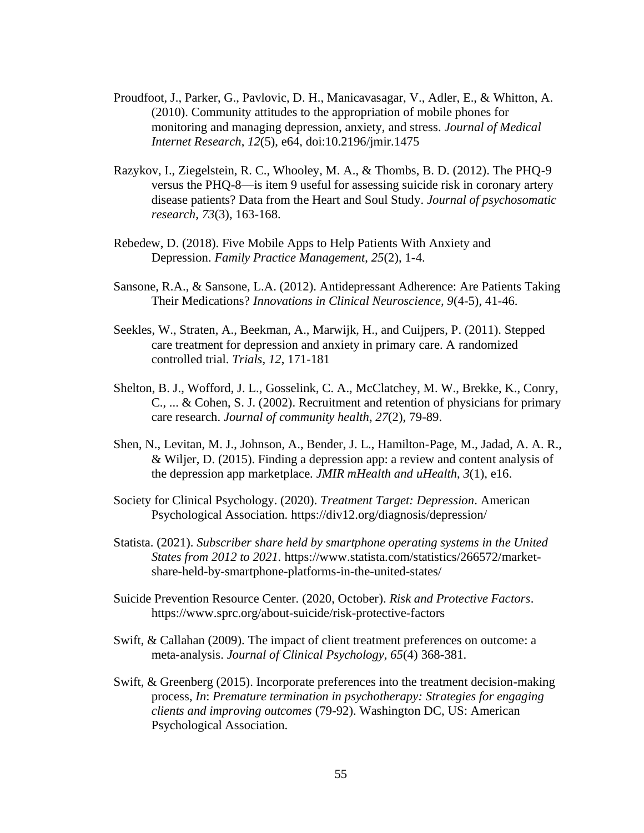- Proudfoot, J., Parker, G., Pavlovic, D. H., Manicavasagar, V., Adler, E., & Whitton, A. (2010). Community attitudes to the appropriation of mobile phones for monitoring and managing depression, anxiety, and stress. *Journal of Medical Internet Research*, *12*(5), e64, doi:10.2196/jmir.1475
- Razykov, I., Ziegelstein, R. C., Whooley, M. A., & Thombs, B. D. (2012). The PHQ-9 versus the PHQ-8—is item 9 useful for assessing suicide risk in coronary artery disease patients? Data from the Heart and Soul Study. *Journal of psychosomatic research*, *73*(3), 163-168.
- Rebedew, D. (2018). Five Mobile Apps to Help Patients With Anxiety and Depression. *Family Practice Management*, *25*(2), 1-4.
- Sansone, R.A., & Sansone, L.A. (2012). Antidepressant Adherence: Are Patients Taking Their Medications? *Innovations in Clinical Neuroscience, 9*(4-5), 41-46.
- Seekles, W., Straten, A., Beekman, A., Marwijk, H., and Cuijpers, P. (2011). Stepped care treatment for depression and anxiety in primary care. A randomized controlled trial. *Trials, 12*, 171-181
- Shelton, B. J., Wofford, J. L., Gosselink, C. A., McClatchey, M. W., Brekke, K., Conry, C., ... & Cohen, S. J. (2002). Recruitment and retention of physicians for primary care research. *Journal of community health*, *27*(2), 79-89.
- Shen, N., Levitan, M. J., Johnson, A., Bender, J. L., Hamilton-Page, M., Jadad, A. A. R., & Wiljer, D. (2015). Finding a depression app: a review and content analysis of the depression app marketplace. *JMIR mHealth and uHealth*, *3*(1), e16.
- Society for Clinical Psychology. (2020). *Treatment Target: Depression*. American Psychological Association. https://div12.org/diagnosis/depression/
- Statista. (2021). *Subscriber share held by smartphone operating systems in the United States from 2012 to 2021.* https://www.statista.com/statistics/266572/marketshare-held-by-smartphone-platforms-in-the-united-states/
- Suicide Prevention Resource Center. (2020, October). *Risk and Protective Factors*. https://www.sprc.org/about-suicide/risk-protective-factors
- Swift, & Callahan (2009). The impact of client treatment preferences on outcome: a meta-analysis. *Journal of Clinical Psychology, 65*(4) 368-381.
- Swift, & Greenberg (2015). Incorporate preferences into the treatment decision-making process, *In*: *Premature termination in psychotherapy: Strategies for engaging clients and improving outcomes* (79-92). Washington DC, US: American Psychological Association.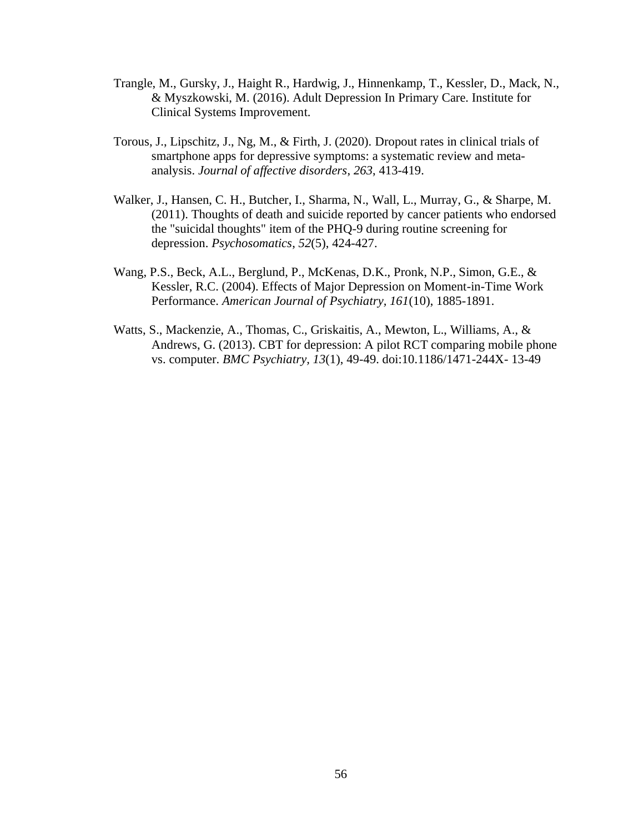- Trangle, M., Gursky, J., Haight R., Hardwig, J., Hinnenkamp, T., Kessler, D., Mack, N., & Myszkowski, M. (2016). Adult Depression In Primary Care. Institute for Clinical Systems Improvement.
- Torous, J., Lipschitz, J., Ng, M., & Firth, J. (2020). Dropout rates in clinical trials of smartphone apps for depressive symptoms: a systematic review and metaanalysis. *Journal of affective disorders*, *263*, 413-419.
- Walker, J., Hansen, C. H., Butcher, I., Sharma, N., Wall, L., Murray, G., & Sharpe, M. (2011). Thoughts of death and suicide reported by cancer patients who endorsed the "suicidal thoughts" item of the PHQ-9 during routine screening for depression. *Psychosomatics*, *52*(5), 424-427.
- Wang, P.S., Beck, A.L., Berglund, P., McKenas, D.K., Pronk, N.P., Simon, G.E., & Kessler, R.C. (2004). Effects of Major Depression on Moment-in-Time Work Performance. *American Journal of Psychiatry, 161*(10), 1885-1891.
- Watts, S., Mackenzie, A., Thomas, C., Griskaitis, A., Mewton, L., Williams, A., & Andrews, G. (2013). CBT for depression: A pilot RCT comparing mobile phone vs. computer. *BMC Psychiatry, 13*(1), 49-49. doi:10.1186/1471-244X- 13-49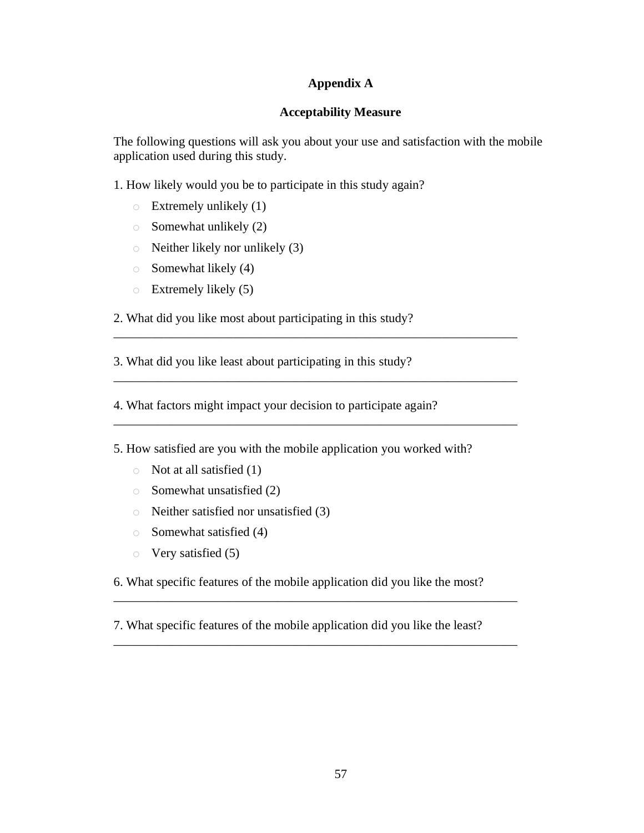# **Appendix A**

## **Acceptability Measure**

The following questions will ask you about your use and satisfaction with the mobile application used during this study.

1. How likely would you be to participate in this study again?

- $\circ$  Extremely unlikely (1)
- $\circ$  Somewhat unlikely (2)
- o Neither likely nor unlikely (3)
- $\circ$  Somewhat likely (4)
- $\circ$  Extremely likely (5)
- 2. What did you like most about participating in this study?

3. What did you like least about participating in this study?

4. What factors might impact your decision to participate again?

5. How satisfied are you with the mobile application you worked with?

\_\_\_\_\_\_\_\_\_\_\_\_\_\_\_\_\_\_\_\_\_\_\_\_\_\_\_\_\_\_\_\_\_\_\_\_\_\_\_\_\_\_\_\_\_\_\_\_\_\_\_\_\_\_\_\_\_\_\_\_\_\_\_\_

\_\_\_\_\_\_\_\_\_\_\_\_\_\_\_\_\_\_\_\_\_\_\_\_\_\_\_\_\_\_\_\_\_\_\_\_\_\_\_\_\_\_\_\_\_\_\_\_\_\_\_\_\_\_\_\_\_\_\_\_\_\_\_\_

\_\_\_\_\_\_\_\_\_\_\_\_\_\_\_\_\_\_\_\_\_\_\_\_\_\_\_\_\_\_\_\_\_\_\_\_\_\_\_\_\_\_\_\_\_\_\_\_\_\_\_\_\_\_\_\_\_\_\_\_\_\_\_\_

- $\circ$  Not at all satisfied (1)
- o Somewhat unsatisfied (2)
- o Neither satisfied nor unsatisfied (3)
- o Somewhat satisfied (4)
- o Very satisfied (5)

6. What specific features of the mobile application did you like the most?

\_\_\_\_\_\_\_\_\_\_\_\_\_\_\_\_\_\_\_\_\_\_\_\_\_\_\_\_\_\_\_\_\_\_\_\_\_\_\_\_\_\_\_\_\_\_\_\_\_\_\_\_\_\_\_\_\_\_\_\_\_\_\_\_

\_\_\_\_\_\_\_\_\_\_\_\_\_\_\_\_\_\_\_\_\_\_\_\_\_\_\_\_\_\_\_\_\_\_\_\_\_\_\_\_\_\_\_\_\_\_\_\_\_\_\_\_\_\_\_\_\_\_\_\_\_\_\_\_

7. What specific features of the mobile application did you like the least?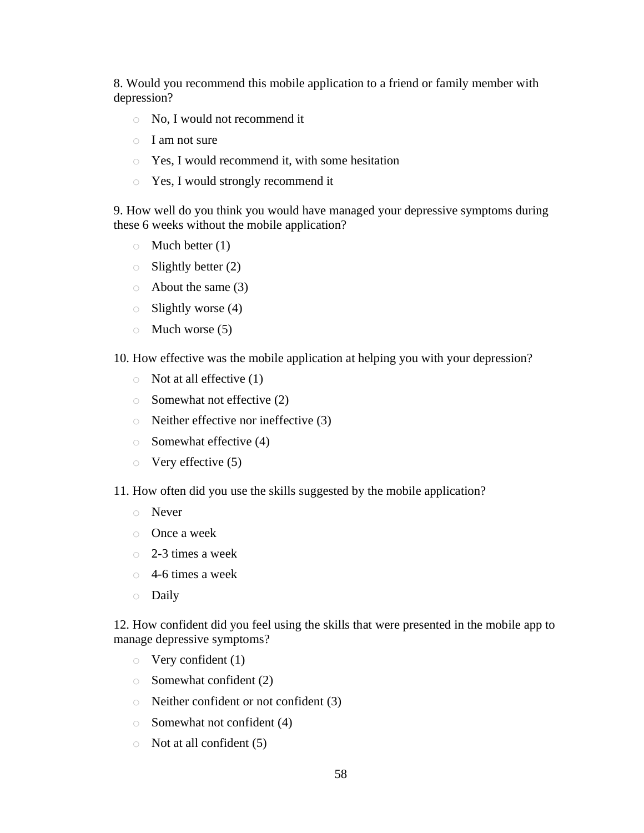8. Would you recommend this mobile application to a friend or family member with depression?

- o No, I would not recommend it
- o I am not sure
- o Yes, I would recommend it, with some hesitation
- o Yes, I would strongly recommend it

9. How well do you think you would have managed your depressive symptoms during these 6 weeks without the mobile application?

- $\circ$  Much better (1)
- $\circ$  Slightly better (2)
- $\circ$  About the same (3)
- $\circ$  Slightly worse (4)
- $\circ$  Much worse (5)
- 10. How effective was the mobile application at helping you with your depression?
	- $\circ$  Not at all effective (1)
	- $\circ$  Somewhat not effective (2)
	- o Neither effective nor ineffective (3)
	- $\circ$  Somewhat effective (4)
	- $\circ$  Very effective (5)
- 11. How often did you use the skills suggested by the mobile application?
	- o Never
	- o Once a week
	- o 2-3 times a week
	- $\circ$  4-6 times a week
	- o Daily

12. How confident did you feel using the skills that were presented in the mobile app to manage depressive symptoms?

- $\circ$  Very confident (1)
- $\circ$  Somewhat confident (2)
- o Neither confident or not confident (3)
- o Somewhat not confident (4)
- $\circ$  Not at all confident (5)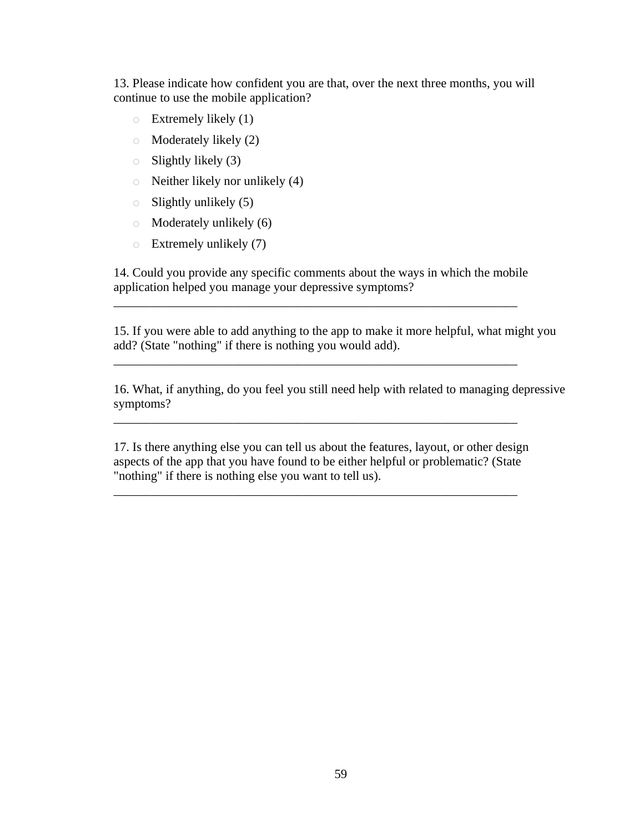13. Please indicate how confident you are that, over the next three months, you will continue to use the mobile application?

- $\circ$  Extremely likely (1)
- o Moderately likely (2)
- $\circ$  Slightly likely (3)
- o Neither likely nor unlikely (4)
- $\circ$  Slightly unlikely (5)
- o Moderately unlikely (6)
- $\circ$  Extremely unlikely (7)

14. Could you provide any specific comments about the ways in which the mobile application helped you manage your depressive symptoms?

\_\_\_\_\_\_\_\_\_\_\_\_\_\_\_\_\_\_\_\_\_\_\_\_\_\_\_\_\_\_\_\_\_\_\_\_\_\_\_\_\_\_\_\_\_\_\_\_\_\_\_\_\_\_\_\_\_\_\_\_\_\_\_\_

\_\_\_\_\_\_\_\_\_\_\_\_\_\_\_\_\_\_\_\_\_\_\_\_\_\_\_\_\_\_\_\_\_\_\_\_\_\_\_\_\_\_\_\_\_\_\_\_\_\_\_\_\_\_\_\_\_\_\_\_\_\_\_\_

\_\_\_\_\_\_\_\_\_\_\_\_\_\_\_\_\_\_\_\_\_\_\_\_\_\_\_\_\_\_\_\_\_\_\_\_\_\_\_\_\_\_\_\_\_\_\_\_\_\_\_\_\_\_\_\_\_\_\_\_\_\_\_\_

15. If you were able to add anything to the app to make it more helpful, what might you add? (State "nothing" if there is nothing you would add).

16. What, if anything, do you feel you still need help with related to managing depressive symptoms?

17. Is there anything else you can tell us about the features, layout, or other design aspects of the app that you have found to be either helpful or problematic? (State "nothing" if there is nothing else you want to tell us).

\_\_\_\_\_\_\_\_\_\_\_\_\_\_\_\_\_\_\_\_\_\_\_\_\_\_\_\_\_\_\_\_\_\_\_\_\_\_\_\_\_\_\_\_\_\_\_\_\_\_\_\_\_\_\_\_\_\_\_\_\_\_\_\_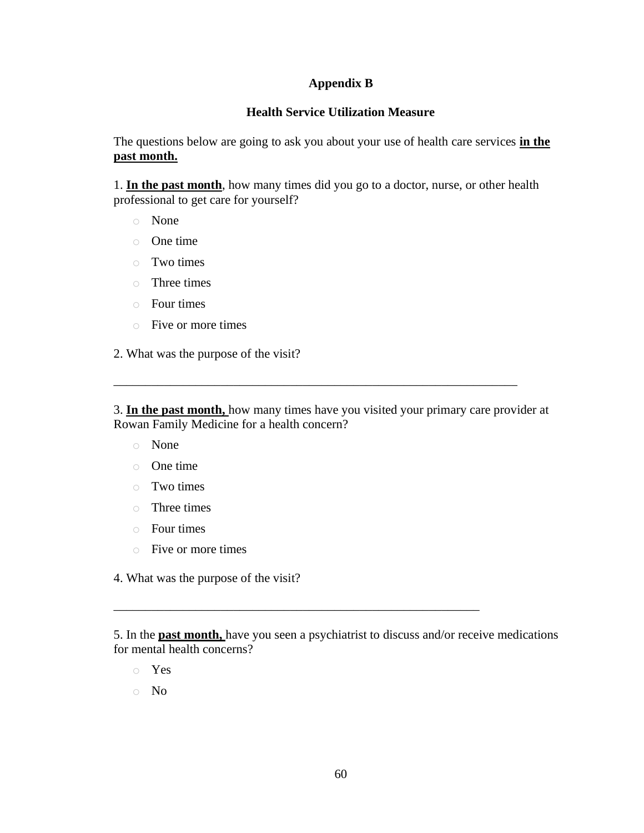# **Appendix B**

# **Health Service Utilization Measure**

The questions below are going to ask you about your use of health care services **in the past month.** 

1. **In the past month**, how many times did you go to a doctor, nurse, or other health professional to get care for yourself?

- o None
- o One time
- o Two times
- o Three times
- o Four times
- o Five or more times

2. What was the purpose of the visit?

3. **In the past month,** how many times have you visited your primary care provider at Rowan Family Medicine for a health concern?

\_\_\_\_\_\_\_\_\_\_\_\_\_\_\_\_\_\_\_\_\_\_\_\_\_\_\_\_\_\_\_\_\_\_\_\_\_\_\_\_\_\_\_\_\_\_\_\_\_\_\_\_\_\_\_\_\_\_\_\_\_\_\_\_

- o None
- o One time
- o Two times
- o Three times
- o Four times
- o Five or more times
- 4. What was the purpose of the visit?

\_\_\_\_\_\_\_\_\_\_\_\_\_\_\_\_\_\_\_\_\_\_\_\_\_\_\_\_\_\_\_\_\_\_\_\_\_\_\_\_\_\_\_\_\_\_\_\_\_\_\_\_\_\_\_\_\_\_

- o Yes
- o No

<sup>5.</sup> In the **past month,** have you seen a psychiatrist to discuss and/or receive medications for mental health concerns?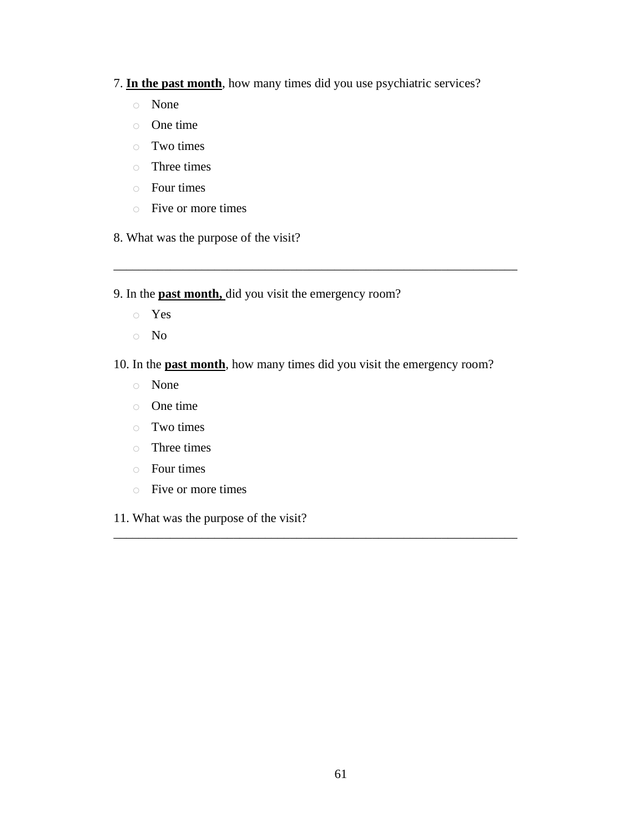- 7. **In the past month**, how many times did you use psychiatric services?
	- o None
	- o One time
	- o Two times
	- o Three times
	- o Four times
	- o Five or more times
- 8. What was the purpose of the visit?
- 9. In the **past month,** did you visit the emergency room?
	- o Yes
	- o No
- 10. In the **past month**, how many times did you visit the emergency room?

\_\_\_\_\_\_\_\_\_\_\_\_\_\_\_\_\_\_\_\_\_\_\_\_\_\_\_\_\_\_\_\_\_\_\_\_\_\_\_\_\_\_\_\_\_\_\_\_\_\_\_\_\_\_\_\_\_\_\_\_\_\_\_\_

\_\_\_\_\_\_\_\_\_\_\_\_\_\_\_\_\_\_\_\_\_\_\_\_\_\_\_\_\_\_\_\_\_\_\_\_\_\_\_\_\_\_\_\_\_\_\_\_\_\_\_\_\_\_\_\_\_\_\_\_\_\_\_\_

- o None
- o One time
- o Two times
- o Three times
- o Four times
- o Five or more times
- 11. What was the purpose of the visit?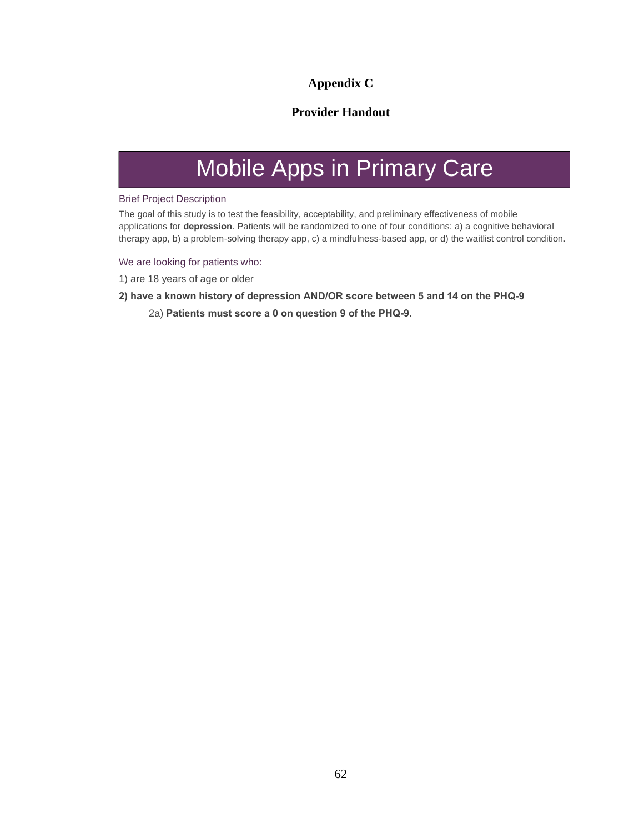# **Appendix C**

# **Provider Handout**

# Mobile Apps in Primary Care

### Brief Project Description

The goal of this study is to test the feasibility, acceptability, and preliminary effectiveness of mobile applications for **depression**. Patients will be randomized to one of four conditions: a) <sup>a</sup> cognitive behavioral therapy app, b) <sup>a</sup> problem-solving therapy app, c) <sup>a</sup> mindfulness-based app, or d) the waitlist control condition.

We are looking for patients who:

1) are 18 years of age or older

#### **2) have <sup>a</sup> known history of depression AND/OR score between 5 and 14 on the PHQ-9**

2a) **Patients must score <sup>a</sup> 0 on question 9 of the PHQ-9.**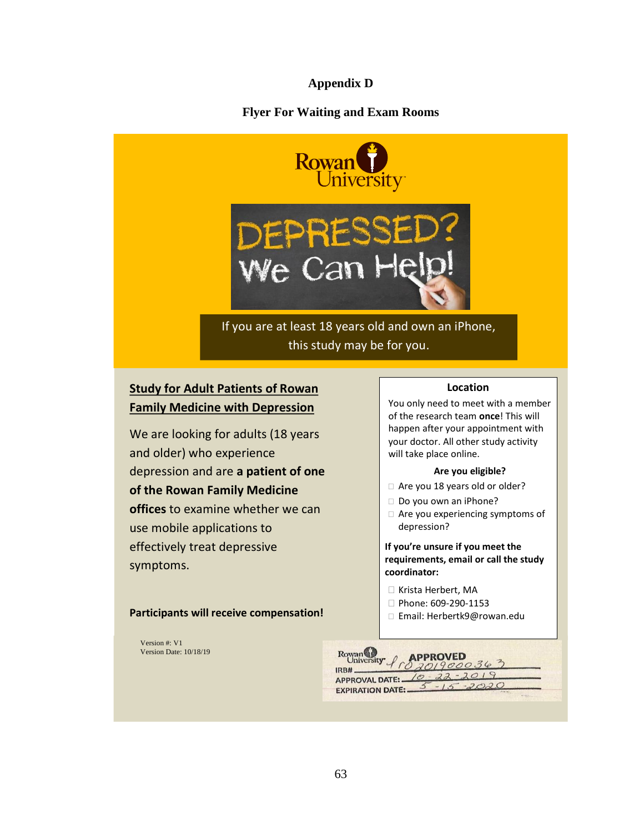# **Appendix D**

# **Flyer For Waiting and Exam Rooms**



# If you are at least 18 years old and own an iPhone, this study may be for you.

We Can He

# **Study for Adult Patients of Rowan Family Medicine with Depression**

We are looking for adults (18 years and older) who experience depression and are **a patient of one of the Rowan Family Medicine offices** to examine whether we can use mobile applications to effectively treat depressive symptoms.

**Participants will receive compensation!**

Version #: V1 Version Date: 10/18/19

## **Location**

You only need to meet with a member of the research team **once**! This will happen after your appointment with your doctor. All other study activity will take place online.

#### **Are you eligible?**

- □ Are you 18 years old or older?
- Do you own an iPhone?
- $\Box$  Are you experiencing symptoms of depression?

**If you're unsure if you meet the requirements, email or call the study coordinator:**

- □ Krista Herbert, MA
- Phone: 609-290-1153
- □ Email: Herbertk9@rowan.edu

| Rowan Day of APPROVED    |                                 |
|--------------------------|---------------------------------|
| IRB#                     | APPROVAL DATE: $10 - 22 - 2019$ |
| <b>EXPIRATION DATE:-</b> | $-2020$                         |